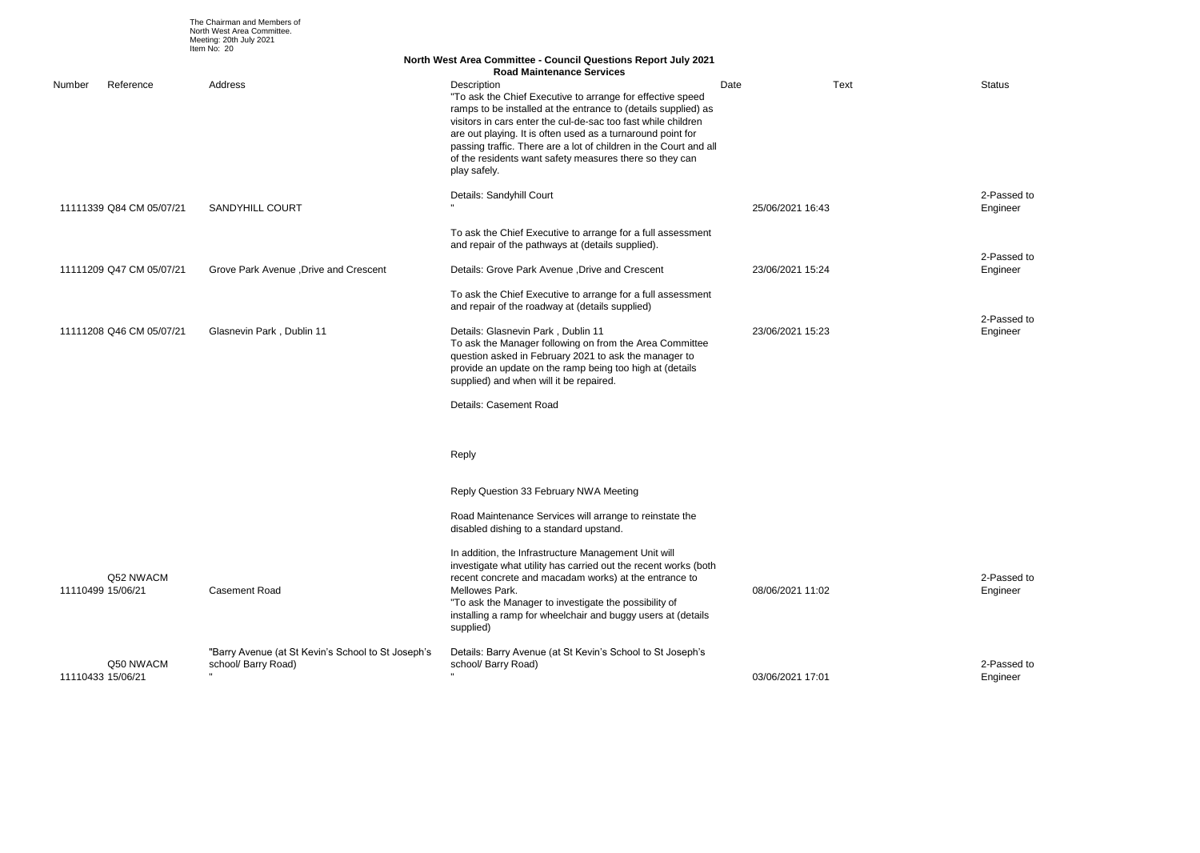2-Passed to Engineer

2-Passed to Engineer

|                          |           |                                                                           | <b>North West Area Committee - Council Questions Report July 2021</b><br><b>Road Maintenance Services</b>                                                                                                                                                                                                                                                                                                                   |                  |      |                 |
|--------------------------|-----------|---------------------------------------------------------------------------|-----------------------------------------------------------------------------------------------------------------------------------------------------------------------------------------------------------------------------------------------------------------------------------------------------------------------------------------------------------------------------------------------------------------------------|------------------|------|-----------------|
| Number                   | Reference | Address                                                                   | Description<br>"To ask the Chief Executive to arrange for effective speed<br>ramps to be installed at the entrance to (details supplied) as<br>visitors in cars enter the cul-de-sac too fast while children<br>are out playing. It is often used as a turnaround point for<br>passing traffic. There are a lot of children in the Court and all<br>of the residents want safety measures there so they can<br>play safely. | Date             | Text | Status          |
| 11111339 Q84 CM 05/07/21 |           | <b>SANDYHILL COURT</b>                                                    | Details: Sandyhill Court                                                                                                                                                                                                                                                                                                                                                                                                    | 25/06/2021 16:43 |      | 2-Pas<br>Engine |
|                          |           |                                                                           | To ask the Chief Executive to arrange for a full assessment<br>and repair of the pathways at (details supplied).                                                                                                                                                                                                                                                                                                            |                  |      |                 |
| 11111209 Q47 CM 05/07/21 |           | Grove Park Avenue , Drive and Crescent                                    | Details: Grove Park Avenue , Drive and Crescent                                                                                                                                                                                                                                                                                                                                                                             | 23/06/2021 15:24 |      | 2-Pas<br>Engine |
|                          |           |                                                                           | To ask the Chief Executive to arrange for a full assessment<br>and repair of the roadway at (details supplied)                                                                                                                                                                                                                                                                                                              |                  |      |                 |
| 11111208 Q46 CM 05/07/21 |           | Glasnevin Park, Dublin 11                                                 | Details: Glasnevin Park, Dublin 11<br>To ask the Manager following on from the Area Committee<br>question asked in February 2021 to ask the manager to<br>provide an update on the ramp being too high at (details<br>supplied) and when will it be repaired.                                                                                                                                                               | 23/06/2021 15:23 |      | 2-Pas<br>Engine |
|                          |           |                                                                           | Details: Casement Road                                                                                                                                                                                                                                                                                                                                                                                                      |                  |      |                 |
|                          |           |                                                                           | Reply                                                                                                                                                                                                                                                                                                                                                                                                                       |                  |      |                 |
|                          |           |                                                                           | Reply Question 33 February NWA Meeting                                                                                                                                                                                                                                                                                                                                                                                      |                  |      |                 |
|                          |           |                                                                           | Road Maintenance Services will arrange to reinstate the<br>disabled dishing to a standard upstand.                                                                                                                                                                                                                                                                                                                          |                  |      |                 |
| 11110499 15/06/21        | Q52 NWACM | <b>Casement Road</b>                                                      | In addition, the Infrastructure Management Unit will<br>investigate what utility has carried out the recent works (both<br>recent concrete and macadam works) at the entrance to<br>Mellowes Park.<br>"To ask the Manager to investigate the possibility of<br>installing a ramp for wheelchair and buggy users at (details<br>supplied)                                                                                    | 08/06/2021 11:02 |      | 2-Pas<br>Engine |
| 11110433 15/06/21        | Q50 NWACM | "Barry Avenue (at St Kevin's School to St Joseph's<br>school/ Barry Road) | Details: Barry Avenue (at St Kevin's School to St Joseph's<br>school/ Barry Road)                                                                                                                                                                                                                                                                                                                                           | 03/06/2021 17:01 |      | 2-Pas<br>Engine |

2-Passed to Engineer

2-Passed to Engineer

The Chairman and Members of North West Area Committee. Meeting: 20th July 2021 Item No: 20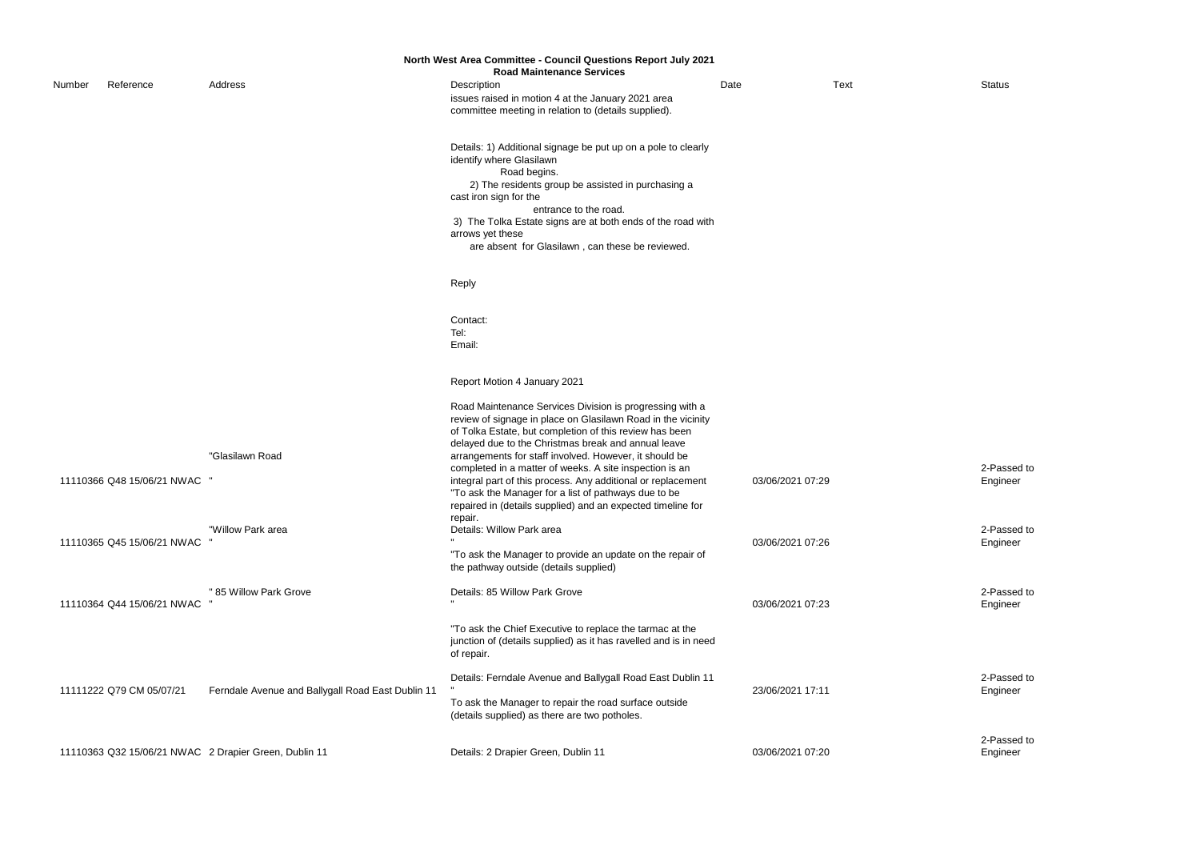|        |                            |                                                       | North West Area Committee - Council Questions Report July 2021<br><b>Road Maintenance Services</b>                                                                                                                                                                                                                                                                                                                                                                                                                                                     |                  |             |                  |
|--------|----------------------------|-------------------------------------------------------|--------------------------------------------------------------------------------------------------------------------------------------------------------------------------------------------------------------------------------------------------------------------------------------------------------------------------------------------------------------------------------------------------------------------------------------------------------------------------------------------------------------------------------------------------------|------------------|-------------|------------------|
| Number | Reference                  | Address                                               | Description<br>issues raised in motion 4 at the January 2021 area<br>committee meeting in relation to (details supplied).                                                                                                                                                                                                                                                                                                                                                                                                                              | Date             | <b>Text</b> | <b>Status</b>    |
|        |                            |                                                       | Details: 1) Additional signage be put up on a pole to clearly<br>identify where Glasilawn<br>Road begins.<br>2) The residents group be assisted in purchasing a<br>cast iron sign for the<br>entrance to the road.<br>3) The Tolka Estate signs are at both ends of the road with<br>arrows yet these<br>are absent for Glasilawn, can these be reviewed.                                                                                                                                                                                              |                  |             |                  |
|        |                            |                                                       | Reply                                                                                                                                                                                                                                                                                                                                                                                                                                                                                                                                                  |                  |             |                  |
|        |                            |                                                       | Contact:<br>Tel:<br>Email:                                                                                                                                                                                                                                                                                                                                                                                                                                                                                                                             |                  |             |                  |
|        |                            |                                                       | Report Motion 4 January 2021                                                                                                                                                                                                                                                                                                                                                                                                                                                                                                                           |                  |             |                  |
|        | 11110366 Q48 15/06/21 NWAC | "Glasilawn Road                                       | Road Maintenance Services Division is progressing with a<br>review of signage in place on Glasilawn Road in the vicinity<br>of Tolka Estate, but completion of this review has been<br>delayed due to the Christmas break and annual leave<br>arrangements for staff involved. However, it should be<br>completed in a matter of weeks. A site inspection is an<br>integral part of this process. Any additional or replacement<br>"To ask the Manager for a list of pathways due to be<br>repaired in (details supplied) and an expected timeline for | 03/06/2021 07:29 |             | 2-Pas<br>Engine  |
|        | 11110365 Q45 15/06/21 NWAC | "Willow Park area                                     | repair.<br>Details: Willow Park area<br>"To ask the Manager to provide an update on the repair of<br>the pathway outside (details supplied)                                                                                                                                                                                                                                                                                                                                                                                                            | 03/06/2021 07:26 |             | 2-Pas<br>Engine  |
|        | 11110364 Q44 15/06/21 NWAC | " 85 Willow Park Grove                                | Details: 85 Willow Park Grove                                                                                                                                                                                                                                                                                                                                                                                                                                                                                                                          | 03/06/2021 07:23 |             | 2-Pas<br>Engine  |
|        |                            |                                                       | "To ask the Chief Executive to replace the tarmac at the<br>junction of (details supplied) as it has ravelled and is in need<br>of repair.                                                                                                                                                                                                                                                                                                                                                                                                             |                  |             |                  |
|        | 11111222 Q79 CM 05/07/21   | Ferndale Avenue and Ballygall Road East Dublin 11     | Details: Ferndale Avenue and Ballygall Road East Dublin 11<br>To ask the Manager to repair the road surface outside<br>(details supplied) as there are two potholes.                                                                                                                                                                                                                                                                                                                                                                                   | 23/06/2021 17:11 |             | 2-Pass<br>Engine |
|        |                            | 11110363 Q32 15/06/21 NWAC 2 Drapier Green, Dublin 11 | Details: 2 Drapier Green, Dublin 11                                                                                                                                                                                                                                                                                                                                                                                                                                                                                                                    | 03/06/2021 07:20 |             | 2-Pas<br>Engine  |

2-Passed to Engineer

2-Passed to Engineer

2-Passed to Engineer

2-Passed to Engineer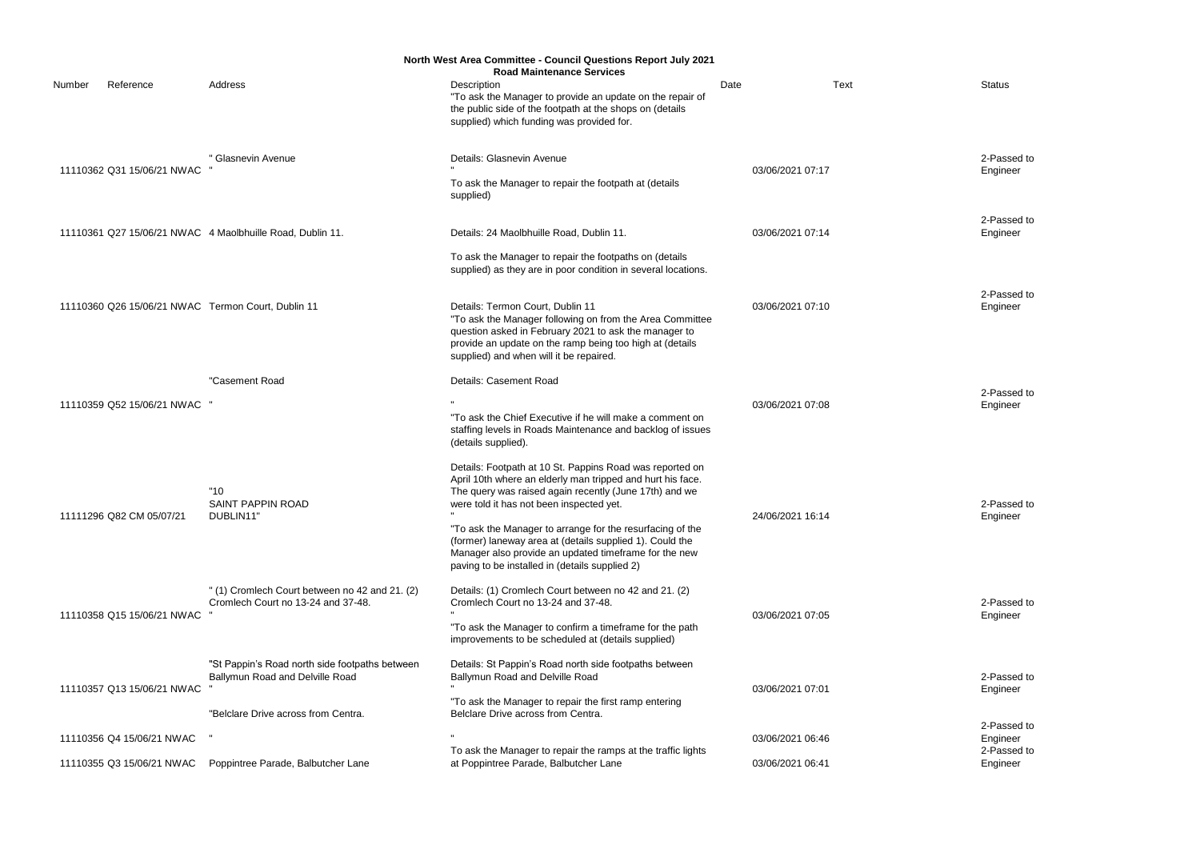2-Passed to Engineer

2-Passed to Engineer

2-Passed to Engineer

|                                                           |                                                                                                                          | <b>North West Area Committee - Council Questions Report July 2021</b><br><b>Road Maintenance Services</b>                                                                                                                                                                                                                                                                                                                                                        |                  |      |                 |
|-----------------------------------------------------------|--------------------------------------------------------------------------------------------------------------------------|------------------------------------------------------------------------------------------------------------------------------------------------------------------------------------------------------------------------------------------------------------------------------------------------------------------------------------------------------------------------------------------------------------------------------------------------------------------|------------------|------|-----------------|
| Number<br>Reference                                       | Address                                                                                                                  | Description<br>"To ask the Manager to provide an update on the repair of<br>the public side of the footpath at the shops on (details<br>supplied) which funding was provided for.                                                                                                                                                                                                                                                                                | Date             | Text | Status          |
| 11110362 Q31 15/06/21 NWAC                                | " Glasnevin Avenue                                                                                                       | Details: Glasnevin Avenue<br>To ask the Manager to repair the footpath at (details<br>supplied)                                                                                                                                                                                                                                                                                                                                                                  | 03/06/2021 07:17 |      | 2-Pas<br>Engine |
| 11110361 Q27 15/06/21 NWAC 4 Maolbhuille Road, Dublin 11. |                                                                                                                          | Details: 24 Maolbhuille Road, Dublin 11.<br>To ask the Manager to repair the footpaths on (details                                                                                                                                                                                                                                                                                                                                                               | 03/06/2021 07:14 |      | 2-Pas<br>Engine |
| 11110360 Q26 15/06/21 NWAC Termon Court, Dublin 11        |                                                                                                                          | supplied) as they are in poor condition in several locations.<br>Details: Termon Court, Dublin 11<br>"To ask the Manager following on from the Area Committee<br>question asked in February 2021 to ask the manager to<br>provide an update on the ramp being too high at (details<br>supplied) and when will it be repaired.                                                                                                                                    | 03/06/2021 07:10 |      | 2-Pas<br>Engine |
| 11110359 Q52 15/06/21 NWAC                                | "Casement Road                                                                                                           | Details: Casement Road<br>"To ask the Chief Executive if he will make a comment on<br>staffing levels in Roads Maintenance and backlog of issues<br>(details supplied).                                                                                                                                                                                                                                                                                          | 03/06/2021 07:08 |      | 2-Pas<br>Engine |
| 11111296 Q82 CM 05/07/21                                  | "10"<br><b>SAINT PAPPIN ROAD</b><br>DUBLIN11"                                                                            | Details: Footpath at 10 St. Pappins Road was reported on<br>April 10th where an elderly man tripped and hurt his face.<br>The query was raised again recently (June 17th) and we<br>were told it has not been inspected yet.<br>"To ask the Manager to arrange for the resurfacing of the<br>(former) laneway area at (details supplied 1). Could the<br>Manager also provide an updated timeframe for the new<br>paving to be installed in (details supplied 2) | 24/06/2021 16:14 |      | 2-Pas<br>Engine |
| 11110358 Q15 15/06/21 NWAC                                | " (1) Cromlech Court between no 42 and 21. (2)<br>Cromlech Court no 13-24 and 37-48.                                     | Details: (1) Cromlech Court between no 42 and 21. (2)<br>Cromlech Court no 13-24 and 37-48.<br>"To ask the Manager to confirm a timeframe for the path<br>improvements to be scheduled at (details supplied)                                                                                                                                                                                                                                                     | 03/06/2021 07:05 |      | 2-Pas<br>Engine |
| 11110357 Q13 15/06/21 NWAC                                | "St Pappin's Road north side footpaths between<br>Ballymun Road and Delville Road<br>"Belclare Drive across from Centra. | Details: St Pappin's Road north side footpaths between<br>Ballymun Road and Delville Road<br>"To ask the Manager to repair the first ramp entering<br>Belclare Drive across from Centra.                                                                                                                                                                                                                                                                         | 03/06/2021 07:01 |      | 2-Pas<br>Engine |
| 11110356 Q4 15/06/21 NWAC                                 |                                                                                                                          |                                                                                                                                                                                                                                                                                                                                                                                                                                                                  | 03/06/2021 06:46 |      | 2-Pas<br>Engine |
| 11110355 Q3 15/06/21 NWAC                                 | Poppintree Parade, Balbutcher Lane                                                                                       | To ask the Manager to repair the ramps at the traffic lights<br>at Poppintree Parade, Balbutcher Lane                                                                                                                                                                                                                                                                                                                                                            | 03/06/2021 06:41 |      | 2-Pas<br>Engine |

2-Passed to Engineer

2-Passed to Engineer

2-Passed to Engineer

2-Passed to Engineer 2-Passed to Engineer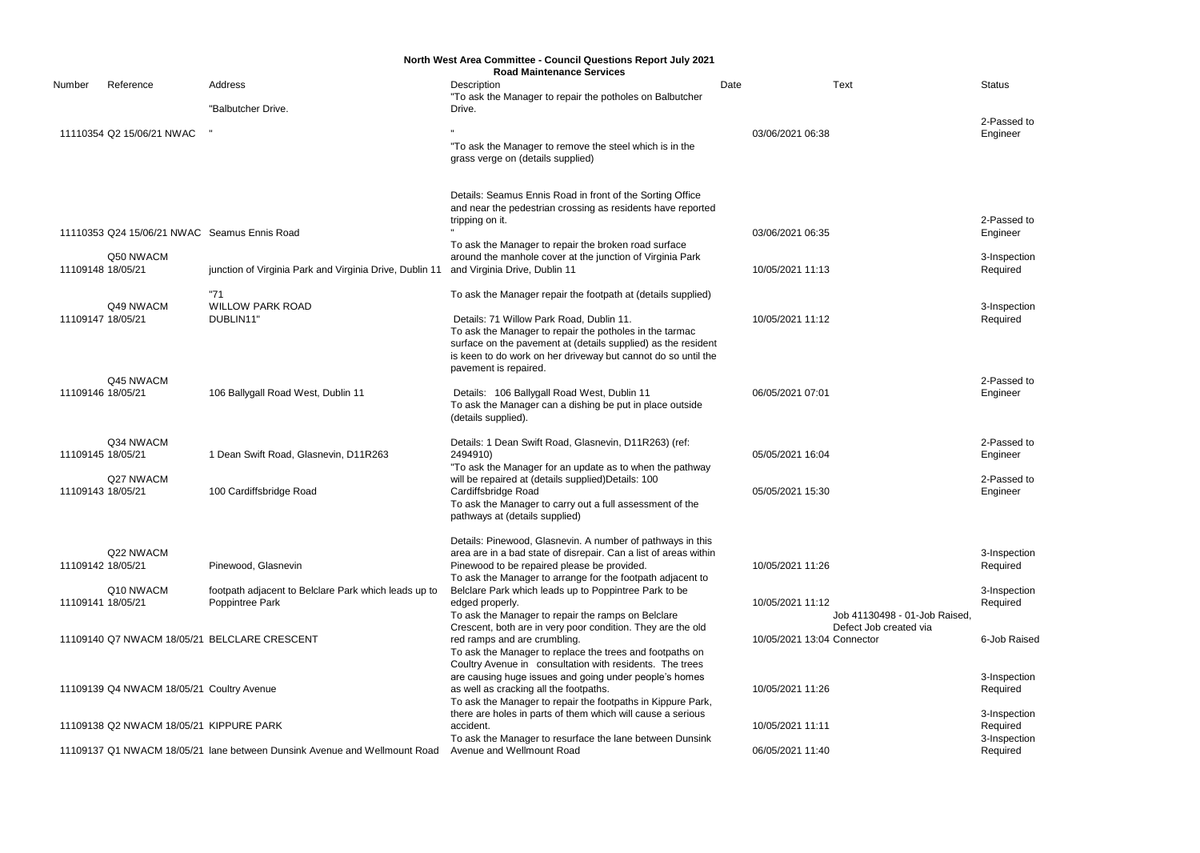2-Passed to Engineer

3-Inspection Required

3-Inspection Required

2-Passed to Engineer

2-Passed to Engineer

|        | North West Area Committee - Council Questions Report July 2021<br><b>Road Maintenance Services</b> |                                                                           |                                                                                                                          |      |                               |               |  |  |
|--------|----------------------------------------------------------------------------------------------------|---------------------------------------------------------------------------|--------------------------------------------------------------------------------------------------------------------------|------|-------------------------------|---------------|--|--|
| Number | Reference                                                                                          | Address                                                                   | Description                                                                                                              | Date | <b>Text</b>                   | <b>Status</b> |  |  |
|        |                                                                                                    |                                                                           | "To ask the Manager to repair the potholes on Balbutcher                                                                 |      |                               |               |  |  |
|        |                                                                                                    | "Balbutcher Drive.                                                        | Drive.                                                                                                                   |      |                               |               |  |  |
|        | 11110354 Q2 15/06/21 NWAC                                                                          |                                                                           |                                                                                                                          |      | 03/06/2021 06:38              | 2-Pas         |  |  |
|        |                                                                                                    |                                                                           | "To ask the Manager to remove the steel which is in the                                                                  |      |                               | Engine        |  |  |
|        |                                                                                                    |                                                                           | grass verge on (details supplied)                                                                                        |      |                               |               |  |  |
|        |                                                                                                    |                                                                           |                                                                                                                          |      |                               |               |  |  |
|        |                                                                                                    |                                                                           |                                                                                                                          |      |                               |               |  |  |
|        |                                                                                                    |                                                                           | Details: Seamus Ennis Road in front of the Sorting Office<br>and near the pedestrian crossing as residents have reported |      |                               |               |  |  |
|        |                                                                                                    |                                                                           | tripping on it.                                                                                                          |      |                               | 2-Pas         |  |  |
|        | 11110353 Q24 15/06/21 NWAC Seamus Ennis Road                                                       |                                                                           |                                                                                                                          |      | 03/06/2021 06:35              | Engine        |  |  |
|        |                                                                                                    |                                                                           | To ask the Manager to repair the broken road surface                                                                     |      |                               |               |  |  |
|        | Q50 NWACM                                                                                          |                                                                           | around the manhole cover at the junction of Virginia Park                                                                |      |                               | 3-Insp        |  |  |
|        | 11109148 18/05/21                                                                                  | junction of Virginia Park and Virginia Drive, Dublin 11                   | and Virginia Drive, Dublin 11                                                                                            |      | 10/05/2021 11:13              | Requi         |  |  |
|        |                                                                                                    | "71                                                                       | To ask the Manager repair the footpath at (details supplied)                                                             |      |                               |               |  |  |
|        | Q49 NWACM                                                                                          | <b>WILLOW PARK ROAD</b>                                                   |                                                                                                                          |      |                               | 3-Insp        |  |  |
|        | 11109147 18/05/21                                                                                  | DUBLIN11"                                                                 | Details: 71 Willow Park Road, Dublin 11.                                                                                 |      | 10/05/2021 11:12              | Requi         |  |  |
|        |                                                                                                    |                                                                           | To ask the Manager to repair the potholes in the tarmac                                                                  |      |                               |               |  |  |
|        |                                                                                                    |                                                                           | surface on the pavement at (details supplied) as the resident                                                            |      |                               |               |  |  |
|        |                                                                                                    |                                                                           | is keen to do work on her driveway but cannot do so until the<br>pavement is repaired.                                   |      |                               |               |  |  |
|        | Q45 NWACM                                                                                          |                                                                           |                                                                                                                          |      |                               | 2-Pas         |  |  |
|        | 11109146 18/05/21                                                                                  | 106 Ballygall Road West, Dublin 11                                        | Details: 106 Ballygall Road West, Dublin 11                                                                              |      | 06/05/2021 07:01              | Engine        |  |  |
|        |                                                                                                    |                                                                           | To ask the Manager can a dishing be put in place outside                                                                 |      |                               |               |  |  |
|        |                                                                                                    |                                                                           | (details supplied).                                                                                                      |      |                               |               |  |  |
|        | Q34 NWACM                                                                                          |                                                                           | Details: 1 Dean Swift Road, Glasnevin, D11R263) (ref:                                                                    |      |                               | 2-Pas         |  |  |
|        | 11109145 18/05/21                                                                                  | 1 Dean Swift Road, Glasnevin, D11R263                                     | 2494910)                                                                                                                 |      | 05/05/2021 16:04              | Engine        |  |  |
|        |                                                                                                    |                                                                           | "To ask the Manager for an update as to when the pathway                                                                 |      |                               |               |  |  |
|        | Q27 NWACM                                                                                          |                                                                           | will be repaired at (details supplied) Details: 100                                                                      |      |                               | 2-Pas         |  |  |
|        | 11109143 18/05/21                                                                                  | 100 Cardiffsbridge Road                                                   | Cardiffsbridge Road                                                                                                      |      | 05/05/2021 15:30              | Engine        |  |  |
|        |                                                                                                    |                                                                           | To ask the Manager to carry out a full assessment of the<br>pathways at (details supplied)                               |      |                               |               |  |  |
|        |                                                                                                    |                                                                           |                                                                                                                          |      |                               |               |  |  |
|        |                                                                                                    |                                                                           | Details: Pinewood, Glasnevin. A number of pathways in this                                                               |      |                               |               |  |  |
|        | Q22 NWACM                                                                                          |                                                                           | area are in a bad state of disrepair. Can a list of areas within                                                         |      |                               | 3-Insp        |  |  |
|        | 11109142 18/05/21                                                                                  | Pinewood, Glasnevin                                                       | Pinewood to be repaired please be provided.                                                                              |      | 10/05/2021 11:26              | Requi         |  |  |
|        | Q10 NWACM                                                                                          | footpath adjacent to Belclare Park which leads up to                      | To ask the Manager to arrange for the footpath adjacent to<br>Belclare Park which leads up to Poppintree Park to be      |      |                               | 3-Insp        |  |  |
|        | 11109141 18/05/21                                                                                  | Poppintree Park                                                           | edged properly.                                                                                                          |      | 10/05/2021 11:12              | Requi         |  |  |
|        |                                                                                                    |                                                                           | To ask the Manager to repair the ramps on Belclare                                                                       |      | Job 41130498 - 01-Job Raised, |               |  |  |
|        |                                                                                                    |                                                                           | Crescent, both are in very poor condition. They are the old                                                              |      | Defect Job created via        |               |  |  |
|        |                                                                                                    | 11109140 Q7 NWACM 18/05/21 BELCLARE CRESCENT                              | red ramps and are crumbling.                                                                                             |      | 10/05/2021 13:04 Connector    | 6-Job         |  |  |
|        |                                                                                                    |                                                                           | To ask the Manager to replace the trees and footpaths on                                                                 |      |                               |               |  |  |
|        |                                                                                                    |                                                                           | Coultry Avenue in consultation with residents. The trees<br>are causing huge issues and going under people's homes       |      |                               | 3-Insp        |  |  |
|        | 11109139 Q4 NWACM 18/05/21 Coultry Avenue                                                          |                                                                           | as well as cracking all the footpaths.                                                                                   |      | 10/05/2021 11:26              | Requi         |  |  |
|        |                                                                                                    |                                                                           | To ask the Manager to repair the footpaths in Kippure Park,                                                              |      |                               |               |  |  |
|        |                                                                                                    |                                                                           | there are holes in parts of them which will cause a serious                                                              |      |                               | 3-Insp        |  |  |
|        | 11109138 Q2 NWACM 18/05/21 KIPPURE PARK                                                            |                                                                           | accident.                                                                                                                |      | 10/05/2021 11:11              | Requi         |  |  |
|        |                                                                                                    | 11109137 Q1 NWACM 18/05/21 lane between Dunsink Avenue and Wellmount Road | To ask the Manager to resurface the lane between Dunsink<br>Avenue and Wellmount Road                                    |      | 06/05/2021 11:40              | 3-Insp        |  |  |
|        |                                                                                                    |                                                                           |                                                                                                                          |      |                               | Requi         |  |  |

2-Passed to Engineer

3-Inspection Required

3-Inspection Required

6-Job Raised

3-Inspection Required

3-Inspection Required 3-Inspection Required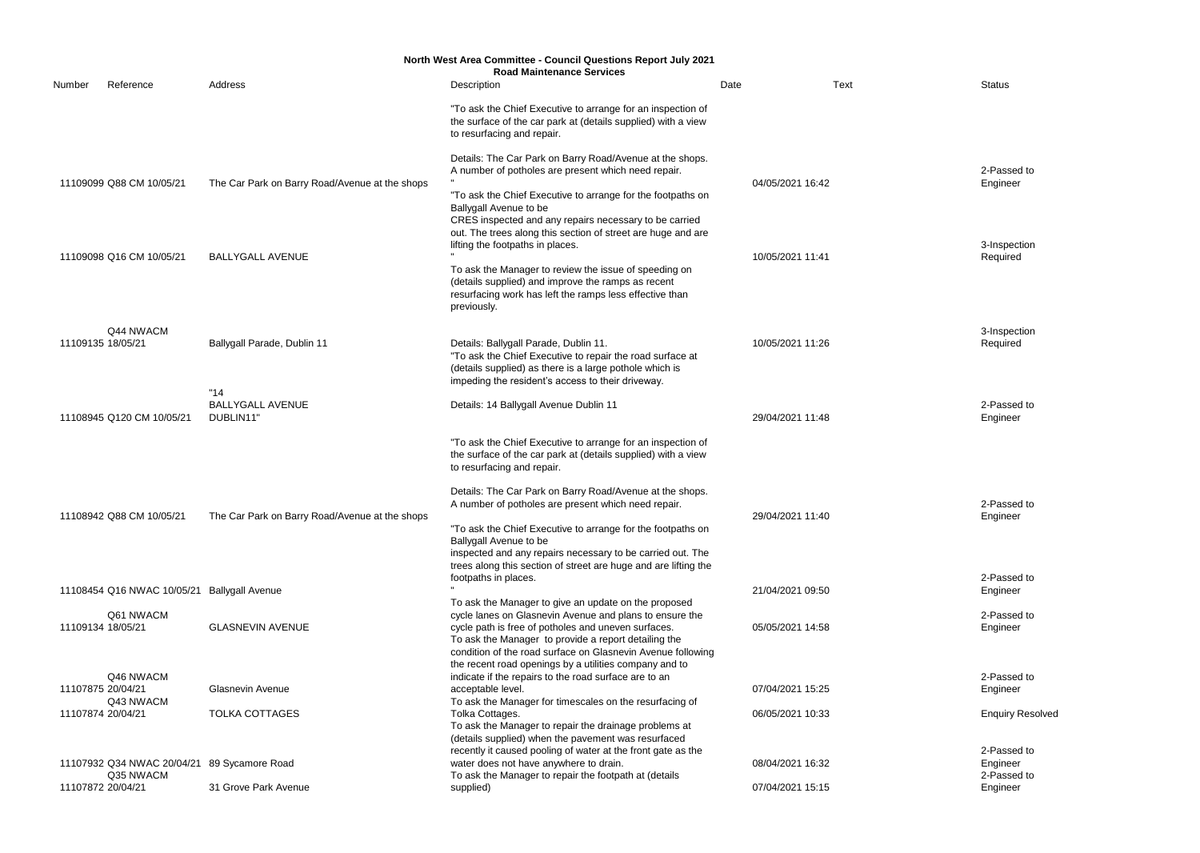3-Inspection Required

3-Inspection Required

2-Passed to Engineer

| <b>North West Area Committee - Council Questions Report July 2021</b> |                                |                                                |                                                                                                                                                                                       |                  |      |                 |  |
|-----------------------------------------------------------------------|--------------------------------|------------------------------------------------|---------------------------------------------------------------------------------------------------------------------------------------------------------------------------------------|------------------|------|-----------------|--|
| Number                                                                | Reference                      | Address                                        | <b>Road Maintenance Services</b><br>Description                                                                                                                                       | Date             | Text | Status          |  |
|                                                                       |                                |                                                |                                                                                                                                                                                       |                  |      |                 |  |
|                                                                       |                                |                                                | "To ask the Chief Executive to arrange for an inspection of<br>the surface of the car park at (details supplied) with a view<br>to resurfacing and repair.                            |                  |      |                 |  |
|                                                                       |                                |                                                |                                                                                                                                                                                       |                  |      |                 |  |
|                                                                       | 11109099 Q88 CM 10/05/21       |                                                | Details: The Car Park on Barry Road/Avenue at the shops.<br>A number of potholes are present which need repair.                                                                       | 04/05/2021 16:42 |      | 2-Pas<br>Engine |  |
|                                                                       |                                | The Car Park on Barry Road/Avenue at the shops | "To ask the Chief Executive to arrange for the footpaths on<br>Ballygall Avenue to be                                                                                                 |                  |      |                 |  |
|                                                                       |                                |                                                | CRES inspected and any repairs necessary to be carried<br>out. The trees along this section of street are huge and are<br>lifting the footpaths in places.                            |                  |      | 3-Insp          |  |
|                                                                       | 11109098 Q16 CM 10/05/21       | <b>BALLYGALL AVENUE</b>                        |                                                                                                                                                                                       | 10/05/2021 11:41 |      | Requi           |  |
|                                                                       |                                |                                                | To ask the Manager to review the issue of speeding on<br>(details supplied) and improve the ramps as recent<br>resurfacing work has left the ramps less effective than<br>previously. |                  |      |                 |  |
|                                                                       | Q44 NWACM                      |                                                |                                                                                                                                                                                       |                  |      | 3-Insp          |  |
|                                                                       | 11109135 18/05/21              | Ballygall Parade, Dublin 11                    | Details: Ballygall Parade, Dublin 11.<br>"To ask the Chief Executive to repair the road surface at<br>(details supplied) as there is a large pothole which is                         | 10/05/2021 11:26 |      | Requi           |  |
|                                                                       |                                | "14"                                           | impeding the resident's access to their driveway.                                                                                                                                     |                  |      |                 |  |
|                                                                       | 11108945 Q120 CM 10/05/21      | <b>BALLYGALL AVENUE</b><br>DUBLIN11"           | Details: 14 Ballygall Avenue Dublin 11                                                                                                                                                | 29/04/2021 11:48 |      | 2-Pas<br>Engine |  |
|                                                                       |                                |                                                | "To ask the Chief Executive to arrange for an inspection of<br>the surface of the car park at (details supplied) with a view<br>to resurfacing and repair.                            |                  |      |                 |  |
|                                                                       |                                |                                                | Details: The Car Park on Barry Road/Avenue at the shops.                                                                                                                              |                  |      |                 |  |
|                                                                       |                                |                                                | A number of potholes are present which need repair.                                                                                                                                   |                  |      | 2-Pas           |  |
|                                                                       | 11108942 Q88 CM 10/05/21       | The Car Park on Barry Road/Avenue at the shops |                                                                                                                                                                                       | 29/04/2021 11:40 |      | Engine          |  |
|                                                                       |                                |                                                | "To ask the Chief Executive to arrange for the footpaths on<br>Ballygall Avenue to be                                                                                                 |                  |      |                 |  |
|                                                                       |                                |                                                | inspected and any repairs necessary to be carried out. The<br>trees along this section of street are huge and are lifting the                                                         |                  |      |                 |  |
|                                                                       |                                |                                                | footpaths in places.                                                                                                                                                                  |                  |      | 2-Pas           |  |
|                                                                       | 11108454 Q16 NWAC 10/05/21     | <b>Ballygall Avenue</b>                        |                                                                                                                                                                                       | 21/04/2021 09:50 |      | Engine          |  |
|                                                                       |                                |                                                | To ask the Manager to give an update on the proposed                                                                                                                                  |                  |      |                 |  |
|                                                                       | Q61 NWACM<br>11109134 18/05/21 | <b>GLASNEVIN AVENUE</b>                        | cycle lanes on Glasnevin Avenue and plans to ensure the<br>cycle path is free of potholes and uneven surfaces.                                                                        | 05/05/2021 14:58 |      | 2-Pas<br>Engine |  |
|                                                                       |                                |                                                | To ask the Manager to provide a report detailing the                                                                                                                                  |                  |      |                 |  |
|                                                                       |                                |                                                | condition of the road surface on Glasnevin Avenue following                                                                                                                           |                  |      |                 |  |
|                                                                       | Q46 NWACM                      |                                                | the recent road openings by a utilities company and to<br>indicate if the repairs to the road surface are to an                                                                       |                  |      | 2-Pas           |  |
|                                                                       | 11107875 20/04/21              | <b>Glasnevin Avenue</b>                        | acceptable level.                                                                                                                                                                     | 07/04/2021 15:25 |      | Engine          |  |
|                                                                       | Q43 NWACM                      |                                                | To ask the Manager for timescales on the resurfacing of                                                                                                                               |                  |      |                 |  |
|                                                                       | 11107874 20/04/21              | <b>TOLKA COTTAGES</b>                          | Tolka Cottages.                                                                                                                                                                       | 06/05/2021 10:33 |      | Enqui           |  |
|                                                                       |                                |                                                | To ask the Manager to repair the drainage problems at<br>(details supplied) when the pavement was resurfaced                                                                          |                  |      |                 |  |
|                                                                       |                                |                                                | recently it caused pooling of water at the front gate as the                                                                                                                          |                  |      | 2-Pas           |  |
|                                                                       | 11107932 Q34 NWAC 20/04/21     | 89 Sycamore Road                               | water does not have anywhere to drain.                                                                                                                                                | 08/04/2021 16:32 |      | Engine          |  |
|                                                                       | Q35 NWACM<br>11107872 20/04/21 | 31 Grove Park Avenue                           | To ask the Manager to repair the footpath at (details<br>supplied)                                                                                                                    | 07/04/2021 15:15 |      | 2-Pas<br>Engine |  |
|                                                                       |                                |                                                |                                                                                                                                                                                       |                  |      |                 |  |

2-Passed to Engineer

2-Passed to Engineer

2-Passed to Engineer

2-Passed to Engineer

Enquiry Resolved

2-Passed to Engineer 2-Passed to Engineer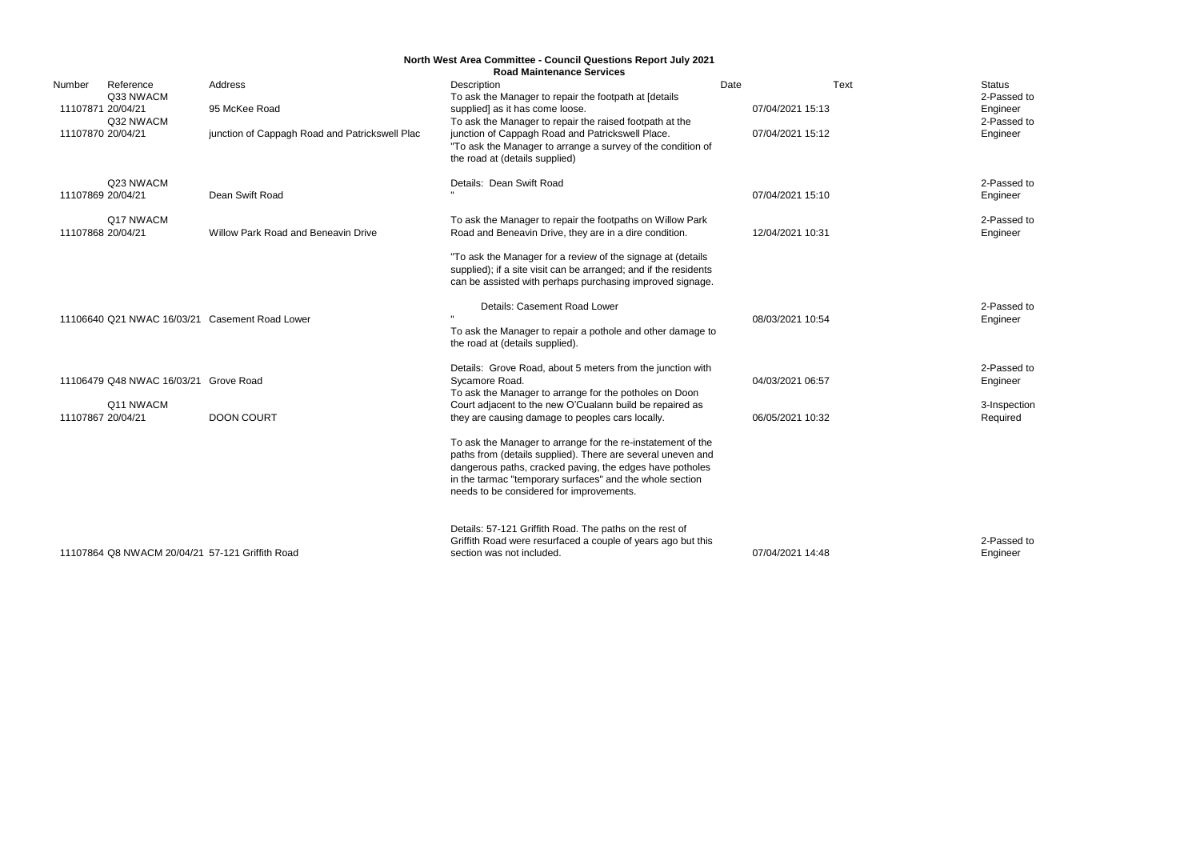Status<br>2-Passed to Engineer 2-Passed to Engineer

2-Passed to Engineer

2-Passed to Engineer

|                   |                                                 |                                                | <b>North West Area Committee - Council Questions Report July 2021</b><br><b>Road Maintenance Services</b>                                                                                                                                                                                      |      |                  |                 |
|-------------------|-------------------------------------------------|------------------------------------------------|------------------------------------------------------------------------------------------------------------------------------------------------------------------------------------------------------------------------------------------------------------------------------------------------|------|------------------|-----------------|
| Number            | Reference                                       | Address                                        | Description                                                                                                                                                                                                                                                                                    | Date | Text             | <b>Status</b>   |
|                   | Q33 NWACM                                       |                                                | To ask the Manager to repair the footpath at [details                                                                                                                                                                                                                                          |      |                  | 2-Pas           |
| 11107871 20/04/21 |                                                 | 95 McKee Road                                  | supplied] as it has come loose.                                                                                                                                                                                                                                                                |      | 07/04/2021 15:13 | Engine          |
|                   | Q32 NWACM                                       |                                                | To ask the Manager to repair the raised footpath at the                                                                                                                                                                                                                                        |      |                  | 2-Pas           |
| 11107870 20/04/21 |                                                 | junction of Cappagh Road and Patrickswell Plac | junction of Cappagh Road and Patrickswell Place.<br>"To ask the Manager to arrange a survey of the condition of<br>the road at (details supplied)                                                                                                                                              |      | 07/04/2021 15:12 | Engine          |
|                   | Q23 NWACM                                       |                                                | Details: Dean Swift Road                                                                                                                                                                                                                                                                       |      |                  | 2-Pas           |
| 11107869 20/04/21 |                                                 | Dean Swift Road                                |                                                                                                                                                                                                                                                                                                |      | 07/04/2021 15:10 | Engine          |
|                   | Q <sub>17</sub> NWACM                           |                                                | To ask the Manager to repair the footpaths on Willow Park                                                                                                                                                                                                                                      |      |                  | 2-Pas           |
| 11107868 20/04/21 |                                                 | <b>Willow Park Road and Beneavin Drive</b>     | Road and Beneavin Drive, they are in a dire condition.                                                                                                                                                                                                                                         |      | 12/04/2021 10:31 | Engine          |
|                   |                                                 |                                                | "To ask the Manager for a review of the signage at (details<br>supplied); if a site visit can be arranged; and if the residents<br>can be assisted with perhaps purchasing improved signage.                                                                                                   |      |                  |                 |
|                   |                                                 |                                                | Details: Casement Road Lower                                                                                                                                                                                                                                                                   |      |                  | 2-Pas           |
|                   |                                                 | 11106640 Q21 NWAC 16/03/21 Casement Road Lower | To ask the Manager to repair a pothole and other damage to<br>the road at (details supplied).                                                                                                                                                                                                  |      | 08/03/2021 10:54 | Engine          |
|                   |                                                 |                                                | Details: Grove Road, about 5 meters from the junction with                                                                                                                                                                                                                                     |      |                  | 2-Pas           |
|                   | 11106479 Q48 NWAC 16/03/21 Grove Road           |                                                | Sycamore Road.<br>To ask the Manager to arrange for the potholes on Doon                                                                                                                                                                                                                       |      | 04/03/2021 06:57 | Engine          |
|                   | Q11 NWACM                                       |                                                | Court adjacent to the new O'Cualann build be repaired as                                                                                                                                                                                                                                       |      |                  | 3-Insp          |
| 11107867 20/04/21 |                                                 | <b>DOON COURT</b>                              | they are causing damage to peoples cars locally.                                                                                                                                                                                                                                               |      | 06/05/2021 10:32 | Requi           |
|                   |                                                 |                                                | To ask the Manager to arrange for the re-instatement of the<br>paths from (details supplied). There are several uneven and<br>dangerous paths, cracked paving, the edges have potholes<br>in the tarmac "temporary surfaces" and the whole section<br>needs to be considered for improvements. |      |                  |                 |
|                   | 11107864 Q8 NWACM 20/04/21 57-121 Griffith Road |                                                | Details: 57-121 Griffith Road. The paths on the rest of<br>Griffith Road were resurfaced a couple of years ago but this<br>section was not included.                                                                                                                                           |      | 07/04/2021 14:48 | 2-Pas<br>Engine |

2-Passed to Engineer

2-Passed to Engineer

3-Inspection Required

2-Passed to Engineer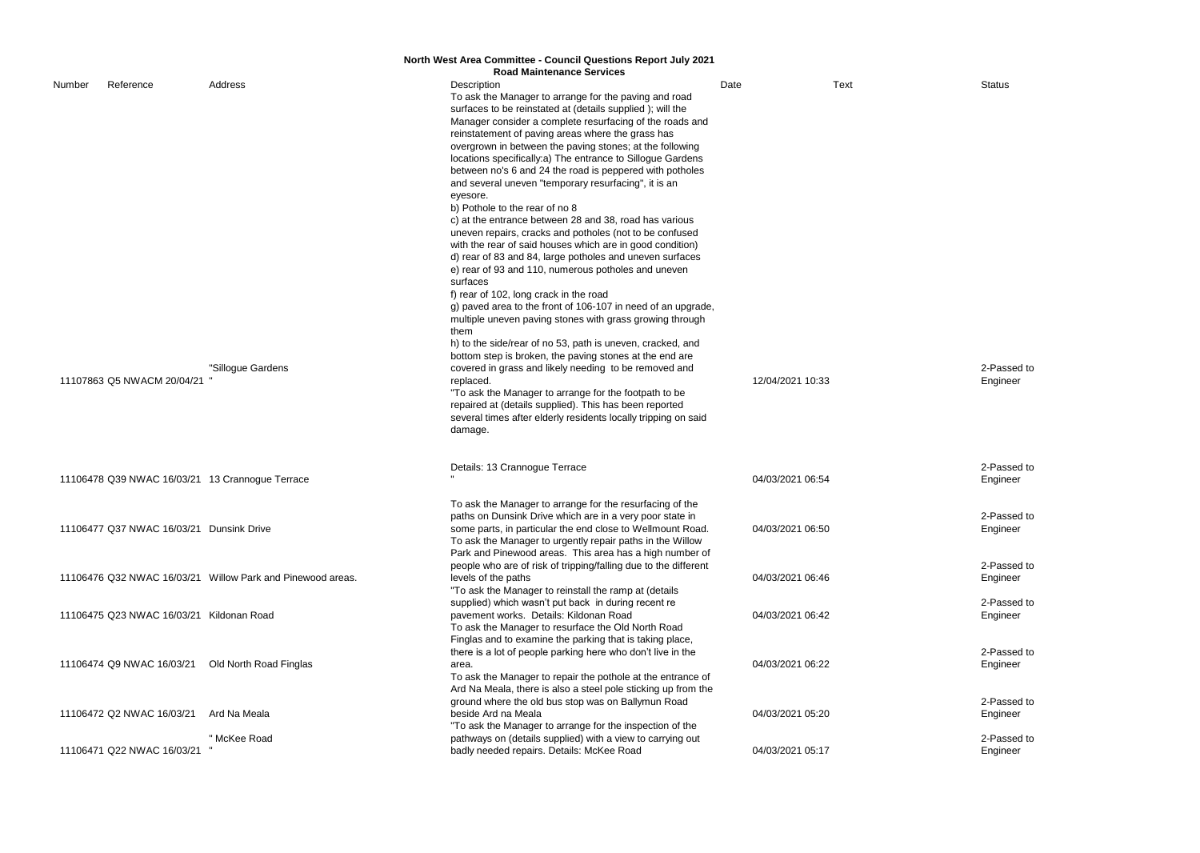|                            |                                                 |                                                            | North West Area Committee - Council Questions Report July 2021                                                               |                  |             |                 |
|----------------------------|-------------------------------------------------|------------------------------------------------------------|------------------------------------------------------------------------------------------------------------------------------|------------------|-------------|-----------------|
|                            |                                                 |                                                            | <b>Road Maintenance Services</b>                                                                                             |                  |             |                 |
| Number                     | Reference                                       | Address                                                    | Description<br>To ask the Manager to arrange for the paving and road                                                         | Date             | <b>Text</b> | Status          |
|                            |                                                 |                                                            | surfaces to be reinstated at (details supplied); will the<br>Manager consider a complete resurfacing of the roads and        |                  |             |                 |
|                            |                                                 |                                                            | reinstatement of paving areas where the grass has<br>overgrown in between the paving stones; at the following                |                  |             |                 |
|                            |                                                 |                                                            | locations specifically:a) The entrance to Sillogue Gardens                                                                   |                  |             |                 |
|                            |                                                 |                                                            | between no's 6 and 24 the road is peppered with potholes<br>and several uneven "temporary resurfacing", it is an             |                  |             |                 |
|                            |                                                 |                                                            | eyesore.<br>b) Pothole to the rear of no 8                                                                                   |                  |             |                 |
|                            |                                                 |                                                            | c) at the entrance between 28 and 38, road has various                                                                       |                  |             |                 |
|                            |                                                 |                                                            | uneven repairs, cracks and potholes (not to be confused<br>with the rear of said houses which are in good condition)         |                  |             |                 |
|                            |                                                 |                                                            | d) rear of 83 and 84, large potholes and uneven surfaces                                                                     |                  |             |                 |
|                            |                                                 |                                                            | e) rear of 93 and 110, numerous potholes and uneven<br>surfaces                                                              |                  |             |                 |
|                            |                                                 |                                                            | f) rear of 102, long crack in the road<br>g) paved area to the front of 106-107 in need of an upgrade,                       |                  |             |                 |
|                            |                                                 |                                                            | multiple uneven paving stones with grass growing through                                                                     |                  |             |                 |
|                            |                                                 |                                                            | them<br>h) to the side/rear of no 53, path is uneven, cracked, and                                                           |                  |             |                 |
|                            |                                                 | "Sillogue Gardens                                          | bottom step is broken, the paving stones at the end are<br>covered in grass and likely needing to be removed and             |                  |             | 2-Pas           |
| 11107863 Q5 NWACM 20/04/21 |                                                 |                                                            | replaced.                                                                                                                    | 12/04/2021 10:33 |             | Engine          |
|                            |                                                 |                                                            | "To ask the Manager to arrange for the footpath to be<br>repaired at (details supplied). This has been reported              |                  |             |                 |
|                            |                                                 |                                                            | several times after elderly residents locally tripping on said<br>damage.                                                    |                  |             |                 |
|                            | 11106478 Q39 NWAC 16/03/21 13 Crannogue Terrace |                                                            | Details: 13 Crannogue Terrace                                                                                                |                  |             | 2-Pas           |
|                            |                                                 |                                                            |                                                                                                                              | 04/03/2021 06:54 |             | Engine          |
|                            |                                                 |                                                            | To ask the Manager to arrange for the resurfacing of the<br>paths on Dunsink Drive which are in a very poor state in         |                  |             | 2-Pas           |
|                            | 11106477 Q37 NWAC 16/03/21 Dunsink Drive        |                                                            | some parts, in particular the end close to Wellmount Road.<br>To ask the Manager to urgently repair paths in the Willow      | 04/03/2021 06:50 |             | Engine          |
|                            |                                                 |                                                            | Park and Pinewood areas. This area has a high number of                                                                      |                  |             |                 |
|                            |                                                 | 11106476 Q32 NWAC 16/03/21 Willow Park and Pinewood areas. | people who are of risk of tripping/falling due to the different<br>levels of the paths                                       | 04/03/2021 06:46 |             | 2-Pas<br>Engine |
|                            |                                                 |                                                            | "To ask the Manager to reinstall the ramp at (details<br>supplied) which wasn't put back in during recent re                 |                  |             | 2-Pas           |
|                            | 11106475 Q23 NWAC 16/03/21 Kildonan Road        |                                                            | pavement works. Details: Kildonan Road                                                                                       | 04/03/2021 06:42 |             | Engine          |
|                            |                                                 |                                                            | To ask the Manager to resurface the Old North Road<br>Finglas and to examine the parking that is taking place,               |                  |             |                 |
|                            | 11106474 Q9 NWAC 16/03/21                       | Old North Road Finglas                                     | there is a lot of people parking here who don't live in the<br>area.                                                         | 04/03/2021 06:22 |             | 2-Pas<br>Engine |
|                            |                                                 |                                                            | To ask the Manager to repair the pothole at the entrance of<br>Ard Na Meala, there is also a steel pole sticking up from the |                  |             |                 |
|                            |                                                 |                                                            | ground where the old bus stop was on Ballymun Road                                                                           |                  |             | 2-Pas           |
|                            | 11106472 Q2 NWAC 16/03/21                       | Ard Na Meala                                               | beside Ard na Meala<br>"To ask the Manager to arrange for the inspection of the                                              | 04/03/2021 05:20 |             | Engine          |
|                            | 11106471 Q22 NWAC 16/03/21                      | " McKee Road                                               | pathways on (details supplied) with a view to carrying out<br>badly needed repairs. Details: McKee Road                      | 04/03/2021 05:17 |             | 2-Pas<br>Engine |
|                            |                                                 |                                                            |                                                                                                                              |                  |             |                 |

2-Passed to Engineer

2-Passed to Engineer

2-Passed to Engineer

2-Passed to Engineer

2-Passed to Engineer

2-Passed to Engineer

2-Passed to Engineer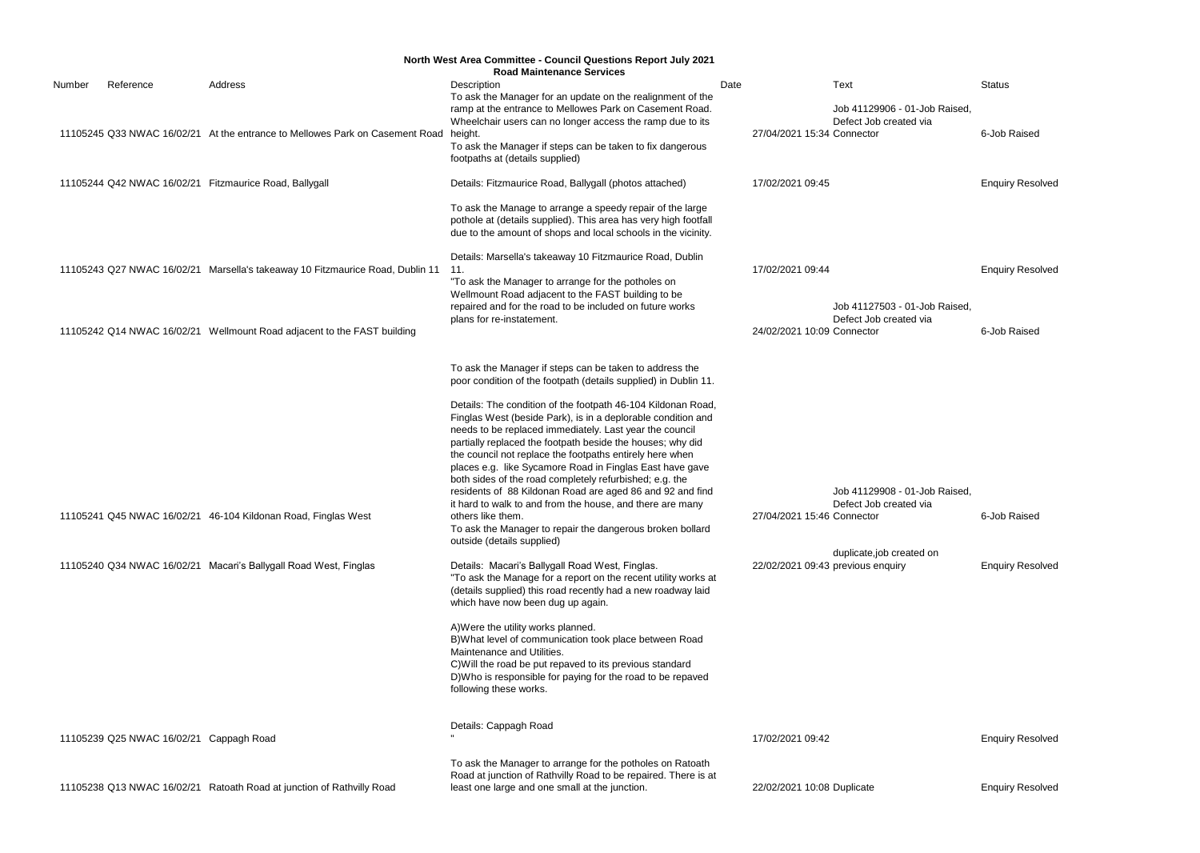|        |                                         |                                                                                      | <b>North West Area Committee - Council Questions Report July 2021</b>                 |      |                            |                                   |                         |
|--------|-----------------------------------------|--------------------------------------------------------------------------------------|---------------------------------------------------------------------------------------|------|----------------------------|-----------------------------------|-------------------------|
|        |                                         |                                                                                      | <b>Road Maintenance Services</b>                                                      |      |                            |                                   |                         |
| Number | Reference                               | Address                                                                              | Description<br>To ask the Manager for an update on the realignment of the             | Date |                            | Text                              | <b>Status</b>           |
|        |                                         |                                                                                      | ramp at the entrance to Mellowes Park on Casement Road.                               |      |                            | Job 41129906 - 01-Job Raised,     |                         |
|        |                                         |                                                                                      | Wheelchair users can no longer access the ramp due to its                             |      |                            | Defect Job created via            |                         |
|        |                                         | 11105245 Q33 NWAC 16/02/21 At the entrance to Mellowes Park on Casement Road height. |                                                                                       |      | 27/04/2021 15:34 Connector |                                   | 6-Job Raised            |
|        |                                         |                                                                                      | To ask the Manager if steps can be taken to fix dangerous                             |      |                            |                                   |                         |
|        |                                         |                                                                                      | footpaths at (details supplied)                                                       |      |                            |                                   |                         |
|        |                                         |                                                                                      |                                                                                       |      |                            |                                   |                         |
|        |                                         | 11105244 Q42 NWAC 16/02/21 Fitzmaurice Road, Ballygall                               | Details: Fitzmaurice Road, Ballygall (photos attached)                                |      | 17/02/2021 09:45           |                                   | <b>Enquiry Resolved</b> |
|        |                                         |                                                                                      | To ask the Manage to arrange a speedy repair of the large                             |      |                            |                                   |                         |
|        |                                         |                                                                                      | pothole at (details supplied). This area has very high footfall                       |      |                            |                                   |                         |
|        |                                         |                                                                                      | due to the amount of shops and local schools in the vicinity.                         |      |                            |                                   |                         |
|        |                                         |                                                                                      |                                                                                       |      |                            |                                   |                         |
|        |                                         |                                                                                      | Details: Marsella's takeaway 10 Fitzmaurice Road, Dublin                              |      |                            |                                   |                         |
|        |                                         | 11105243 Q27 NWAC 16/02/21 Marsella's takeaway 10 Fitzmaurice Road, Dublin 11        | 11.                                                                                   |      | 17/02/2021 09:44           |                                   | <b>Enquiry Resolved</b> |
|        |                                         |                                                                                      | "To ask the Manager to arrange for the potholes on                                    |      |                            |                                   |                         |
|        |                                         |                                                                                      | Wellmount Road adjacent to the FAST building to be                                    |      |                            | Job 41127503 - 01-Job Raised,     |                         |
|        |                                         |                                                                                      | repaired and for the road to be included on future works<br>plans for re-instatement. |      |                            | Defect Job created via            |                         |
|        |                                         | 11105242 Q14 NWAC 16/02/21 Wellmount Road adjacent to the FAST building              |                                                                                       |      | 24/02/2021 10:09 Connector |                                   | 6-Job Raised            |
|        |                                         |                                                                                      |                                                                                       |      |                            |                                   |                         |
|        |                                         |                                                                                      |                                                                                       |      |                            |                                   |                         |
|        |                                         |                                                                                      | To ask the Manager if steps can be taken to address the                               |      |                            |                                   |                         |
|        |                                         |                                                                                      | poor condition of the footpath (details supplied) in Dublin 11.                       |      |                            |                                   |                         |
|        |                                         |                                                                                      | Details: The condition of the footpath 46-104 Kildonan Road,                          |      |                            |                                   |                         |
|        |                                         |                                                                                      | Finglas West (beside Park), is in a deplorable condition and                          |      |                            |                                   |                         |
|        |                                         |                                                                                      | needs to be replaced immediately. Last year the council                               |      |                            |                                   |                         |
|        |                                         |                                                                                      | partially replaced the footpath beside the houses; why did                            |      |                            |                                   |                         |
|        |                                         |                                                                                      | the council not replace the footpaths entirely here when                              |      |                            |                                   |                         |
|        |                                         |                                                                                      | places e.g. like Sycamore Road in Finglas East have gave                              |      |                            |                                   |                         |
|        |                                         |                                                                                      | both sides of the road completely refurbished; e.g. the                               |      |                            |                                   |                         |
|        |                                         |                                                                                      | residents of 88 Kildonan Road are aged 86 and 92 and find                             |      |                            | Job 41129908 - 01-Job Raised,     |                         |
|        |                                         |                                                                                      | it hard to walk to and from the house, and there are many                             |      |                            | Defect Job created via            |                         |
|        |                                         | 11105241 Q45 NWAC 16/02/21 46-104 Kildonan Road, Finglas West                        | others like them.                                                                     |      | 27/04/2021 15:46 Connector |                                   | 6-Job Raised            |
|        |                                         |                                                                                      | To ask the Manager to repair the dangerous broken bollard                             |      |                            |                                   |                         |
|        |                                         |                                                                                      | outside (details supplied)                                                            |      |                            |                                   |                         |
|        |                                         |                                                                                      |                                                                                       |      |                            | duplicate,job created on          |                         |
|        |                                         | 11105240 Q34 NWAC 16/02/21 Macari's Ballygall Road West, Finglas                     | Details: Macari's Ballygall Road West, Finglas.                                       |      |                            | 22/02/2021 09:43 previous enquiry | <b>Enquiry Resolved</b> |
|        |                                         |                                                                                      | "To ask the Manage for a report on the recent utility works at                        |      |                            |                                   |                         |
|        |                                         |                                                                                      | (details supplied) this road recently had a new roadway laid                          |      |                            |                                   |                         |
|        |                                         |                                                                                      | which have now been dug up again.                                                     |      |                            |                                   |                         |
|        |                                         |                                                                                      | A) Were the utility works planned.                                                    |      |                            |                                   |                         |
|        |                                         |                                                                                      | B) What level of communication took place between Road                                |      |                            |                                   |                         |
|        |                                         |                                                                                      | Maintenance and Utilities.                                                            |      |                            |                                   |                         |
|        |                                         |                                                                                      | C) Will the road be put repaved to its previous standard                              |      |                            |                                   |                         |
|        |                                         |                                                                                      | D) Who is responsible for paying for the road to be repaved                           |      |                            |                                   |                         |
|        |                                         |                                                                                      | following these works.                                                                |      |                            |                                   |                         |
|        |                                         |                                                                                      |                                                                                       |      |                            |                                   |                         |
|        |                                         |                                                                                      | Details: Cappagh Road                                                                 |      |                            |                                   |                         |
|        | 11105239 Q25 NWAC 16/02/21 Cappagh Road |                                                                                      |                                                                                       |      | 17/02/2021 09:42           |                                   | <b>Enquiry Resolved</b> |
|        |                                         |                                                                                      | To ask the Manager to arrange for the potholes on Ratoath                             |      |                            |                                   |                         |
|        |                                         |                                                                                      | Road at junction of Rathvilly Road to be repaired. There is at                        |      |                            |                                   |                         |
|        |                                         | 11105238 Q13 NWAC 16/02/21 Ratoath Road at junction of Rathvilly Road                | least one large and one small at the junction.                                        |      | 22/02/2021 10:08 Duplicate |                                   | <b>Enquiry Resolved</b> |
|        |                                         |                                                                                      |                                                                                       |      |                            |                                   |                         |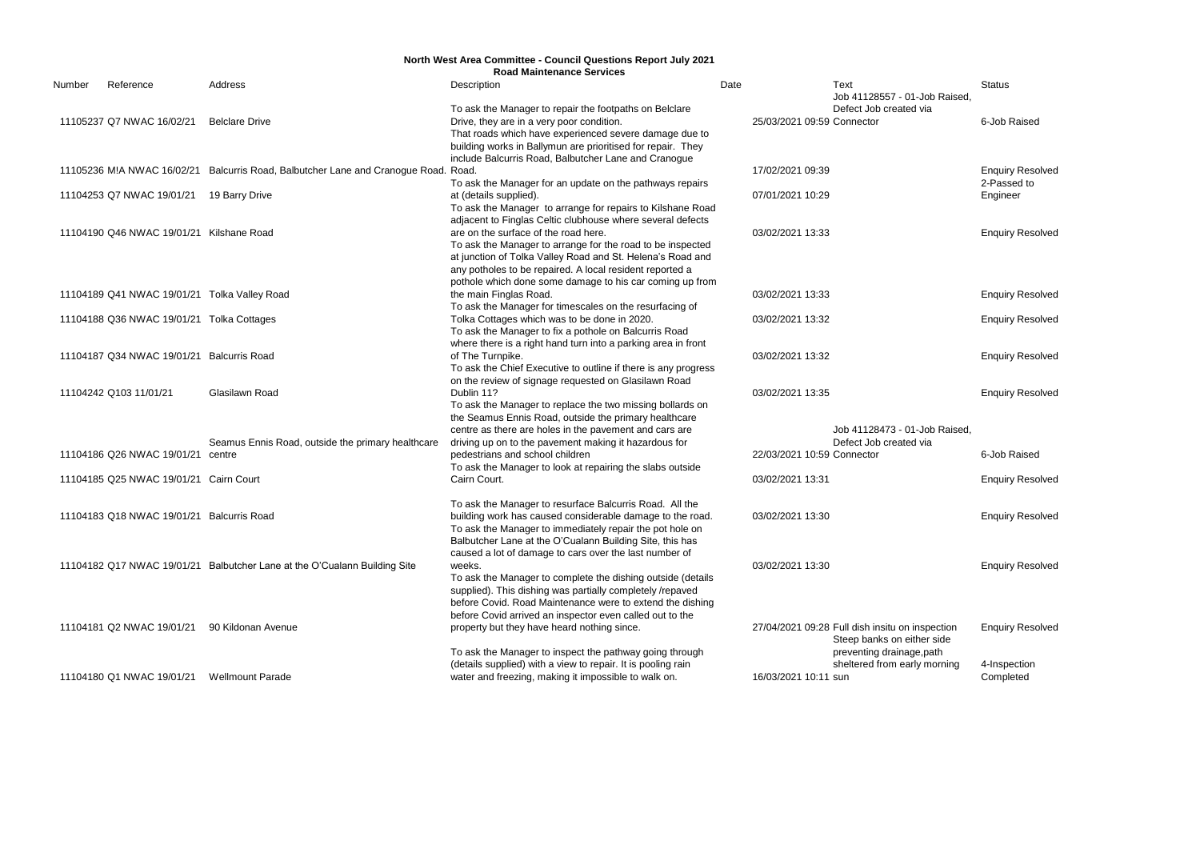|        |                                              |                                                                                     | <b>North West Area Committee - Council Questions Report July 2021</b><br><b>Road Maintenance Services</b> |                            |                                                 |                         |
|--------|----------------------------------------------|-------------------------------------------------------------------------------------|-----------------------------------------------------------------------------------------------------------|----------------------------|-------------------------------------------------|-------------------------|
| Number | Reference                                    | Address                                                                             | Description                                                                                               | Date                       | Text                                            | <b>Status</b>           |
|        |                                              |                                                                                     |                                                                                                           |                            | Job 41128557 - 01-Job Raised.                   |                         |
|        |                                              |                                                                                     | To ask the Manager to repair the footpaths on Belclare                                                    |                            | Defect Job created via                          |                         |
|        | 11105237 Q7 NWAC 16/02/21                    | <b>Belclare Drive</b>                                                               | Drive, they are in a very poor condition.                                                                 | 25/03/2021 09:59 Connector |                                                 | 6-Job Raised            |
|        |                                              |                                                                                     | That roads which have experienced severe damage due to                                                    |                            |                                                 |                         |
|        |                                              |                                                                                     | building works in Ballymun are prioritised for repair. They                                               |                            |                                                 |                         |
|        |                                              |                                                                                     | include Balcurris Road, Balbutcher Lane and Cranogue                                                      |                            |                                                 |                         |
|        |                                              | 11105236 M!A NWAC 16/02/21 Balcurris Road, Balbutcher Lane and Cranogue Road. Road. |                                                                                                           | 17/02/2021 09:39           |                                                 | <b>Enquiry Resolved</b> |
|        |                                              |                                                                                     | To ask the Manager for an update on the pathways repairs                                                  |                            |                                                 | 2-Passed to             |
|        | 11104253 Q7 NWAC 19/01/21 19 Barry Drive     |                                                                                     | at (details supplied).                                                                                    | 07/01/2021 10:29           |                                                 | Engineer                |
|        |                                              |                                                                                     | To ask the Manager to arrange for repairs to Kilshane Road                                                |                            |                                                 |                         |
|        |                                              |                                                                                     | adjacent to Finglas Celtic clubhouse where several defects                                                |                            |                                                 |                         |
|        | 11104190 Q46 NWAC 19/01/21 Kilshane Road     |                                                                                     | are on the surface of the road here.                                                                      | 03/02/2021 13:33           |                                                 | <b>Enquiry Resolved</b> |
|        |                                              |                                                                                     | To ask the Manager to arrange for the road to be inspected                                                |                            |                                                 |                         |
|        |                                              |                                                                                     | at junction of Tolka Valley Road and St. Helena's Road and                                                |                            |                                                 |                         |
|        |                                              |                                                                                     | any potholes to be repaired. A local resident reported a                                                  |                            |                                                 |                         |
|        |                                              |                                                                                     | pothole which done some damage to his car coming up from                                                  |                            |                                                 |                         |
|        | 11104189 Q41 NWAC 19/01/21 Tolka Valley Road |                                                                                     | the main Finglas Road.                                                                                    | 03/02/2021 13:33           |                                                 | <b>Enquiry Resolved</b> |
|        |                                              |                                                                                     | To ask the Manager for timescales on the resurfacing of                                                   |                            |                                                 |                         |
|        | 11104188 Q36 NWAC 19/01/21 Tolka Cottages    |                                                                                     | Tolka Cottages which was to be done in 2020.                                                              | 03/02/2021 13:32           |                                                 | <b>Enquiry Resolved</b> |
|        |                                              |                                                                                     | To ask the Manager to fix a pothole on Balcurris Road                                                     |                            |                                                 |                         |
|        |                                              |                                                                                     | where there is a right hand turn into a parking area in front                                             |                            |                                                 |                         |
|        | 11104187 Q34 NWAC 19/01/21 Balcurris Road    |                                                                                     | of The Turnpike.                                                                                          | 03/02/2021 13:32           |                                                 | <b>Enquiry Resolved</b> |
|        |                                              |                                                                                     | To ask the Chief Executive to outline if there is any progress                                            |                            |                                                 |                         |
|        |                                              |                                                                                     | on the review of signage requested on Glasilawn Road                                                      |                            |                                                 |                         |
|        | 11104242 Q103 11/01/21                       | Glasilawn Road                                                                      | Dublin 11?                                                                                                | 03/02/2021 13:35           |                                                 | <b>Enquiry Resolved</b> |
|        |                                              |                                                                                     | To ask the Manager to replace the two missing bollards on                                                 |                            |                                                 |                         |
|        |                                              |                                                                                     | the Seamus Ennis Road, outside the primary healthcare                                                     |                            |                                                 |                         |
|        |                                              |                                                                                     | centre as there are holes in the pavement and cars are                                                    |                            | Job 41128473 - 01-Job Raised,                   |                         |
|        |                                              |                                                                                     |                                                                                                           |                            | Defect Job created via                          |                         |
|        |                                              | Seamus Ennis Road, outside the primary healthcare                                   | driving up on to the pavement making it hazardous for                                                     |                            |                                                 |                         |
|        | 11104186 Q26 NWAC 19/01/21 centre            |                                                                                     | pedestrians and school children                                                                           | 22/03/2021 10:59 Connector |                                                 | 6-Job Raised            |
|        |                                              |                                                                                     | To ask the Manager to look at repairing the slabs outside                                                 |                            |                                                 |                         |
|        | 11104185 Q25 NWAC 19/01/21 Cairn Court       |                                                                                     | Cairn Court.                                                                                              | 03/02/2021 13:31           |                                                 | <b>Enquiry Resolved</b> |
|        |                                              |                                                                                     |                                                                                                           |                            |                                                 |                         |
|        |                                              |                                                                                     | To ask the Manager to resurface Balcurris Road. All the                                                   |                            |                                                 |                         |
|        | 11104183 Q18 NWAC 19/01/21 Balcurris Road    |                                                                                     | building work has caused considerable damage to the road.                                                 | 03/02/2021 13:30           |                                                 | <b>Enquiry Resolved</b> |
|        |                                              |                                                                                     | To ask the Manager to immediately repair the pot hole on                                                  |                            |                                                 |                         |
|        |                                              |                                                                                     | Balbutcher Lane at the O'Cualann Building Site, this has                                                  |                            |                                                 |                         |
|        |                                              |                                                                                     | caused a lot of damage to cars over the last number of                                                    |                            |                                                 |                         |
|        |                                              | 11104182 Q17 NWAC 19/01/21 Balbutcher Lane at the O'Cualann Building Site           | weeks.                                                                                                    | 03/02/2021 13:30           |                                                 | <b>Enquiry Resolved</b> |
|        |                                              |                                                                                     | To ask the Manager to complete the dishing outside (details                                               |                            |                                                 |                         |
|        |                                              |                                                                                     | supplied). This dishing was partially completely /repaved                                                 |                            |                                                 |                         |
|        |                                              |                                                                                     | before Covid. Road Maintenance were to extend the dishing                                                 |                            |                                                 |                         |
|        |                                              |                                                                                     | before Covid arrived an inspector even called out to the                                                  |                            |                                                 |                         |
|        | 11104181 Q2 NWAC 19/01/21                    | 90 Kildonan Avenue                                                                  | property but they have heard nothing since.                                                               |                            | 27/04/2021 09:28 Full dish insitu on inspection | <b>Enquiry Resolved</b> |
|        |                                              |                                                                                     |                                                                                                           |                            | Steep banks on either side                      |                         |
|        |                                              |                                                                                     | To ask the Manager to inspect the pathway going through                                                   |                            | preventing drainage, path                       |                         |
|        |                                              |                                                                                     | (details supplied) with a view to repair. It is pooling rain                                              |                            | sheltered from early morning                    | 4-Inspection            |
|        | 11104180 Q1 NWAC 19/01/21                    | <b>Wellmount Parade</b>                                                             | water and freezing, making it impossible to walk on.                                                      | 16/03/2021 10:11 sun       |                                                 | Completed               |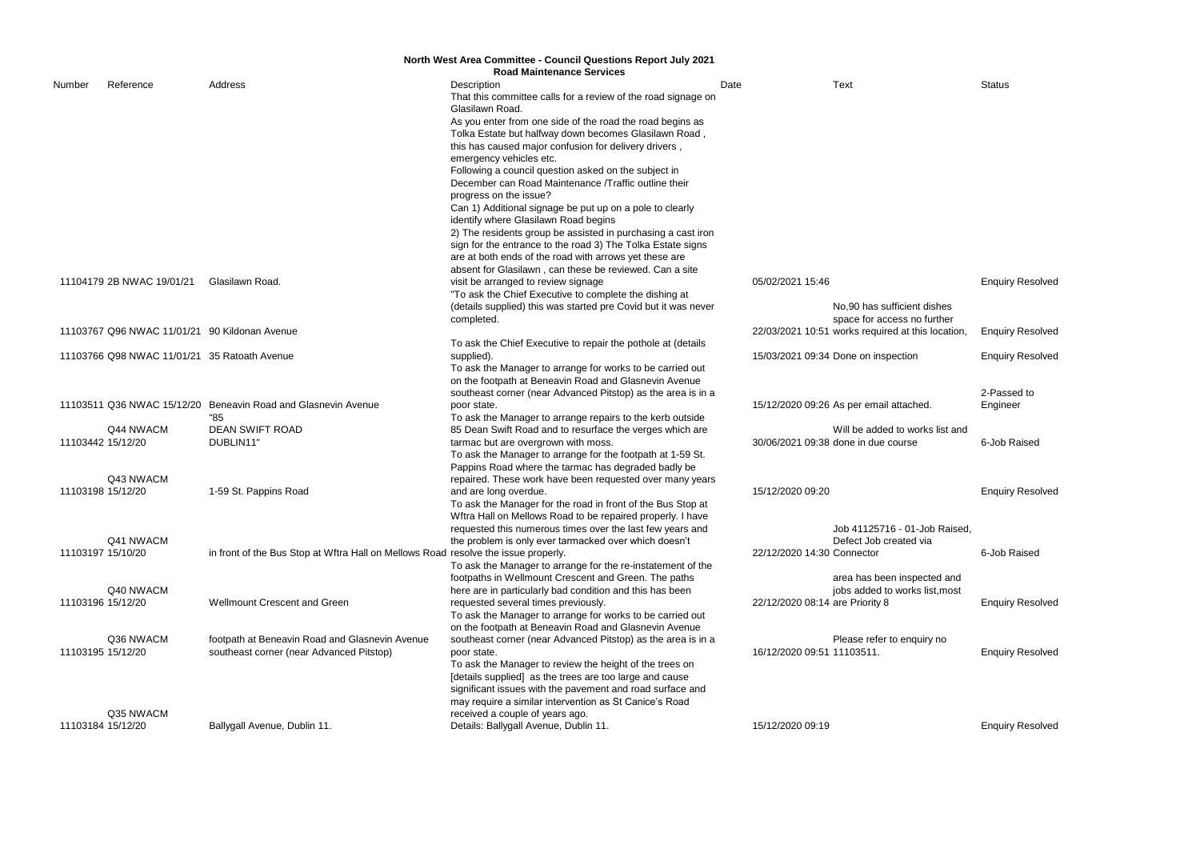|                   | <b>North West Area Committee - Council Questions Report July 2021</b> |                                                                                    |                                                                                                                    |                                 |                                                                                  |                         |  |  |
|-------------------|-----------------------------------------------------------------------|------------------------------------------------------------------------------------|--------------------------------------------------------------------------------------------------------------------|---------------------------------|----------------------------------------------------------------------------------|-------------------------|--|--|
|                   |                                                                       |                                                                                    | <b>Road Maintenance Services</b>                                                                                   |                                 |                                                                                  |                         |  |  |
| Number            | Reference                                                             | Address                                                                            | Description                                                                                                        | Date                            | Text                                                                             | <b>Status</b>           |  |  |
|                   |                                                                       |                                                                                    | That this committee calls for a review of the road signage on<br>Glasilawn Road.                                   |                                 |                                                                                  |                         |  |  |
|                   |                                                                       |                                                                                    | As you enter from one side of the road the road begins as                                                          |                                 |                                                                                  |                         |  |  |
|                   |                                                                       |                                                                                    | Tolka Estate but halfway down becomes Glasilawn Road,                                                              |                                 |                                                                                  |                         |  |  |
|                   |                                                                       |                                                                                    | this has caused major confusion for delivery drivers,                                                              |                                 |                                                                                  |                         |  |  |
|                   |                                                                       |                                                                                    | emergency vehicles etc.                                                                                            |                                 |                                                                                  |                         |  |  |
|                   |                                                                       |                                                                                    | Following a council question asked on the subject in                                                               |                                 |                                                                                  |                         |  |  |
|                   |                                                                       |                                                                                    | December can Road Maintenance /Traffic outline their                                                               |                                 |                                                                                  |                         |  |  |
|                   |                                                                       |                                                                                    | progress on the issue?                                                                                             |                                 |                                                                                  |                         |  |  |
|                   |                                                                       |                                                                                    | Can 1) Additional signage be put up on a pole to clearly                                                           |                                 |                                                                                  |                         |  |  |
|                   |                                                                       |                                                                                    | identify where Glasilawn Road begins                                                                               |                                 |                                                                                  |                         |  |  |
|                   |                                                                       |                                                                                    | 2) The residents group be assisted in purchasing a cast iron                                                       |                                 |                                                                                  |                         |  |  |
|                   |                                                                       |                                                                                    | sign for the entrance to the road 3) The Tolka Estate signs                                                        |                                 |                                                                                  |                         |  |  |
|                   |                                                                       |                                                                                    | are at both ends of the road with arrows yet these are                                                             |                                 |                                                                                  |                         |  |  |
|                   |                                                                       |                                                                                    | absent for Glasilawn, can these be reviewed. Can a site                                                            |                                 |                                                                                  |                         |  |  |
|                   | 11104179 2B NWAC 19/01/21                                             | Glasilawn Road.                                                                    | visit be arranged to review signage                                                                                | 05/02/2021 15:46                |                                                                                  | <b>Enquiry Resolved</b> |  |  |
|                   |                                                                       |                                                                                    | "To ask the Chief Executive to complete the dishing at                                                             |                                 |                                                                                  |                         |  |  |
|                   |                                                                       |                                                                                    | (details supplied) this was started pre Covid but it was never                                                     |                                 | No.90 has sufficient dishes                                                      |                         |  |  |
|                   | 11103767 Q96 NWAC 11/01/21 90 Kildonan Avenue                         |                                                                                    | completed.                                                                                                         |                                 | space for access no further<br>22/03/2021 10:51 works required at this location, | <b>Enquiry Resolved</b> |  |  |
|                   |                                                                       |                                                                                    | To ask the Chief Executive to repair the pothole at (details                                                       |                                 |                                                                                  |                         |  |  |
|                   | 11103766 Q98 NWAC 11/01/21 35 Ratoath Avenue                          |                                                                                    | supplied).                                                                                                         |                                 | 15/03/2021 09:34 Done on inspection                                              | <b>Enquiry Resolved</b> |  |  |
|                   |                                                                       |                                                                                    | To ask the Manager to arrange for works to be carried out                                                          |                                 |                                                                                  |                         |  |  |
|                   |                                                                       |                                                                                    | on the footpath at Beneavin Road and Glasnevin Avenue                                                              |                                 |                                                                                  |                         |  |  |
|                   |                                                                       |                                                                                    | southeast corner (near Advanced Pitstop) as the area is in a                                                       |                                 |                                                                                  | 2-Passed to             |  |  |
|                   |                                                                       | 11103511 Q36 NWAC 15/12/20 Beneavin Road and Glasnevin Avenue                      | poor state.                                                                                                        |                                 | 15/12/2020 09:26 As per email attached.                                          | Engineer                |  |  |
|                   |                                                                       | "85                                                                                | To ask the Manager to arrange repairs to the kerb outside                                                          |                                 |                                                                                  |                         |  |  |
|                   | Q44 NWACM                                                             | <b>DEAN SWIFT ROAD</b>                                                             | 85 Dean Swift Road and to resurface the verges which are                                                           |                                 | Will be added to works list and                                                  |                         |  |  |
| 11103442 15/12/20 |                                                                       | DUBLIN11'                                                                          | tarmac but are overgrown with moss.                                                                                |                                 | 30/06/2021 09:38 done in due course                                              | 6-Job Raised            |  |  |
|                   |                                                                       |                                                                                    | To ask the Manager to arrange for the footpath at 1-59 St.                                                         |                                 |                                                                                  |                         |  |  |
|                   |                                                                       |                                                                                    | Pappins Road where the tarmac has degraded badly be                                                                |                                 |                                                                                  |                         |  |  |
|                   | Q43 NWACM                                                             |                                                                                    | repaired. These work have been requested over many years                                                           |                                 |                                                                                  |                         |  |  |
| 11103198 15/12/20 |                                                                       | 1-59 St. Pappins Road                                                              | and are long overdue.                                                                                              | 15/12/2020 09:20                |                                                                                  | <b>Enquiry Resolved</b> |  |  |
|                   |                                                                       |                                                                                    | To ask the Manager for the road in front of the Bus Stop at                                                        |                                 |                                                                                  |                         |  |  |
|                   |                                                                       |                                                                                    | Wftra Hall on Mellows Road to be repaired properly. I have                                                         |                                 |                                                                                  |                         |  |  |
|                   |                                                                       |                                                                                    | requested this numerous times over the last few years and                                                          |                                 | Job 41125716 - 01-Job Raised,                                                    |                         |  |  |
|                   | Q41 NWACM                                                             |                                                                                    | the problem is only ever tarmacked over which doesn't                                                              |                                 | Defect Job created via                                                           |                         |  |  |
| 11103197 15/10/20 |                                                                       | in front of the Bus Stop at Wftra Hall on Mellows Road resolve the issue properly. |                                                                                                                    | 22/12/2020 14:30 Connector      |                                                                                  | 6-Job Raised            |  |  |
|                   |                                                                       |                                                                                    | To ask the Manager to arrange for the re-instatement of the                                                        |                                 |                                                                                  |                         |  |  |
|                   |                                                                       |                                                                                    | footpaths in Wellmount Crescent and Green. The paths                                                               |                                 | area has been inspected and                                                      |                         |  |  |
|                   | Q40 NWACM                                                             |                                                                                    | here are in particularly bad condition and this has been                                                           |                                 | jobs added to works list, most                                                   |                         |  |  |
| 11103196 15/12/20 |                                                                       | <b>Wellmount Crescent and Green</b>                                                | requested several times previously.                                                                                | 22/12/2020 08:14 are Priority 8 |                                                                                  | <b>Enquiry Resolved</b> |  |  |
|                   |                                                                       |                                                                                    | To ask the Manager to arrange for works to be carried out                                                          |                                 |                                                                                  |                         |  |  |
|                   |                                                                       |                                                                                    | on the footpath at Beneavin Road and Glasnevin Avenue                                                              |                                 |                                                                                  |                         |  |  |
| 11103195 15/12/20 | Q36 NWACM                                                             | footpath at Beneavin Road and Glasnevin Avenue                                     | southeast corner (near Advanced Pitstop) as the area is in a                                                       | 16/12/2020 09:51 11103511.      | Please refer to enquiry no                                                       |                         |  |  |
|                   |                                                                       | southeast corner (near Advanced Pitstop)                                           | poor state.                                                                                                        |                                 |                                                                                  | <b>Enquiry Resolved</b> |  |  |
|                   |                                                                       |                                                                                    | To ask the Manager to review the height of the trees on<br>[details supplied] as the trees are too large and cause |                                 |                                                                                  |                         |  |  |
|                   |                                                                       |                                                                                    | significant issues with the pavement and road surface and                                                          |                                 |                                                                                  |                         |  |  |
|                   |                                                                       |                                                                                    | may require a similar intervention as St Canice's Road                                                             |                                 |                                                                                  |                         |  |  |
|                   | Q35 NWACM                                                             |                                                                                    | received a couple of years ago.                                                                                    |                                 |                                                                                  |                         |  |  |
| 11103184 15/12/20 |                                                                       | Ballygall Avenue, Dublin 11.                                                       | Details: Ballygall Avenue, Dublin 11.                                                                              | 15/12/2020 09:19                |                                                                                  | <b>Enquiry Resolved</b> |  |  |
|                   |                                                                       |                                                                                    |                                                                                                                    |                                 |                                                                                  |                         |  |  |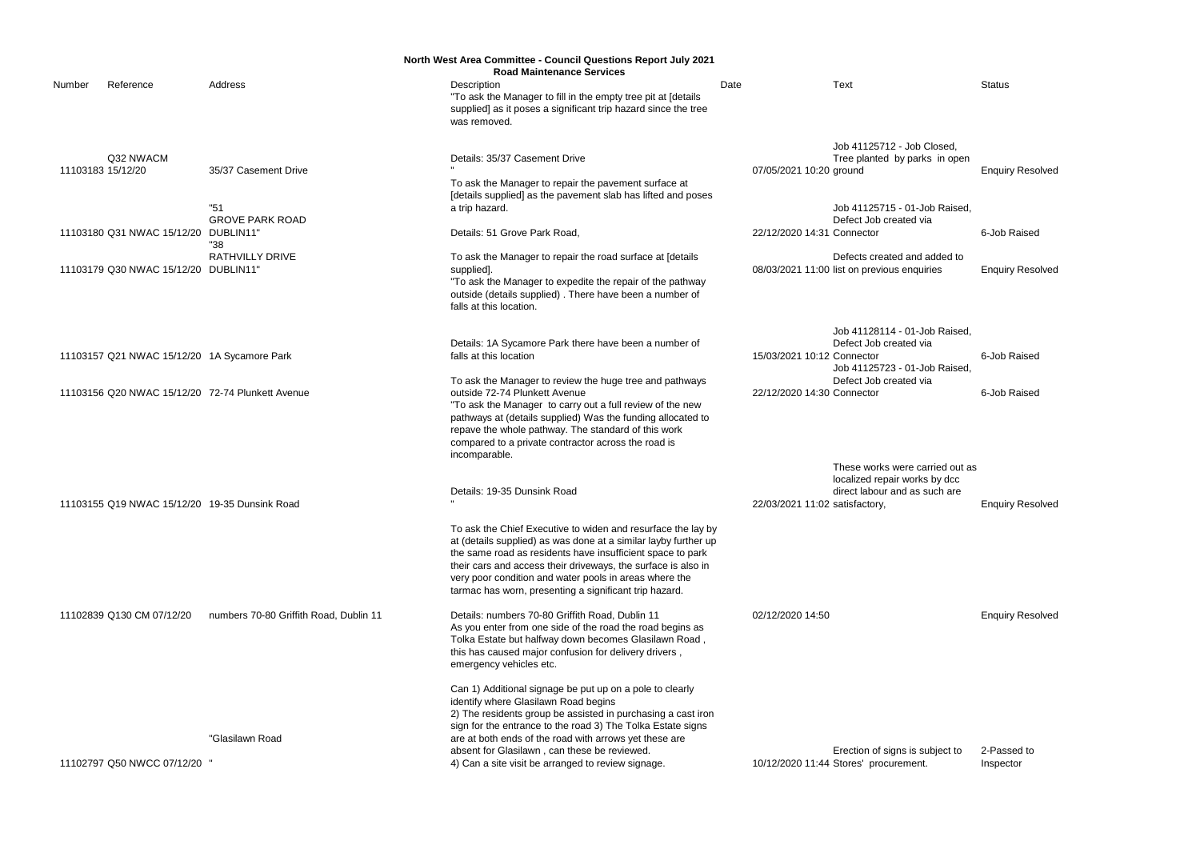|        |                                               |                                                  | North West Area Committee - Council Questions Report July 2021                                                                                                                                                                                                                                                                                                                     |                                |                                                                                                   |                         |
|--------|-----------------------------------------------|--------------------------------------------------|------------------------------------------------------------------------------------------------------------------------------------------------------------------------------------------------------------------------------------------------------------------------------------------------------------------------------------------------------------------------------------|--------------------------------|---------------------------------------------------------------------------------------------------|-------------------------|
|        |                                               |                                                  | <b>Road Maintenance Services</b>                                                                                                                                                                                                                                                                                                                                                   |                                |                                                                                                   |                         |
| Number | Reference                                     | Address                                          | Description<br>"To ask the Manager to fill in the empty tree pit at [details<br>supplied] as it poses a significant trip hazard since the tree<br>was removed.                                                                                                                                                                                                                     | Date                           | Text                                                                                              | <b>Status</b>           |
|        | Q32 NWACM<br>11103183 15/12/20                | 35/37 Casement Drive                             | Details: 35/37 Casement Drive<br>To ask the Manager to repair the pavement surface at<br>[details supplied] as the pavement slab has lifted and poses                                                                                                                                                                                                                              | 07/05/2021 10:20 ground        | Job 41125712 - Job Closed,<br>Tree planted by parks in open                                       | <b>Enquiry Resolved</b> |
|        | 11103180 Q31 NWAC 15/12/20                    | "51<br><b>GROVE PARK ROAD</b><br>DUBLIN11"       | a trip hazard.<br>Details: 51 Grove Park Road,                                                                                                                                                                                                                                                                                                                                     | 22/12/2020 14:31 Connector     | Job 41125715 - 01-Job Raised,<br>Defect Job created via                                           | 6-Job Raised            |
|        | 11103179 Q30 NWAC 15/12/20 DUBLIN11"          | "38<br><b>RATHVILLY DRIVE</b>                    | To ask the Manager to repair the road surface at [details<br>supplied].<br>"To ask the Manager to expedite the repair of the pathway<br>outside (details supplied). There have been a number of<br>falls at this location.                                                                                                                                                         |                                | Defects created and added to<br>08/03/2021 11:00 list on previous enquiries                       | <b>Enquiry Resolved</b> |
|        | 11103157 Q21 NWAC 15/12/20 1A Sycamore Park   |                                                  | Details: 1A Sycamore Park there have been a number of<br>falls at this location                                                                                                                                                                                                                                                                                                    | 15/03/2021 10:12 Connector     | Job 41128114 - 01-Job Raised,<br>Defect Job created via<br>Job 41125723 - 01-Job Raised           | 6-Job Raised            |
|        |                                               | 11103156 Q20 NWAC 15/12/20 72-74 Plunkett Avenue | To ask the Manager to review the huge tree and pathways<br>outside 72-74 Plunkett Avenue<br>"To ask the Manager to carry out a full review of the new<br>pathways at (details supplied) Was the funding allocated to<br>repave the whole pathway. The standard of this work<br>compared to a private contractor across the road is<br>incomparable.                                | 22/12/2020 14:30 Connector     | Defect Job created via                                                                            | 6-Job Raised            |
|        | 11103155 Q19 NWAC 15/12/20 19-35 Dunsink Road |                                                  | Details: 19-35 Dunsink Road                                                                                                                                                                                                                                                                                                                                                        | 22/03/2021 11:02 satisfactory, | These works were carried out as<br>localized repair works by dcc<br>direct labour and as such are | <b>Enquiry Resolved</b> |
|        |                                               |                                                  | To ask the Chief Executive to widen and resurface the lay by<br>at (details supplied) as was done at a similar layby further up<br>the same road as residents have insufficient space to park<br>their cars and access their driveways, the surface is also in<br>very poor condition and water pools in areas where the<br>tarmac has worn, presenting a significant trip hazard. |                                |                                                                                                   |                         |
|        | 11102839 Q130 CM 07/12/20                     | numbers 70-80 Griffith Road, Dublin 11           | Details: numbers 70-80 Griffith Road, Dublin 11<br>As you enter from one side of the road the road begins as<br>Tolka Estate but halfway down becomes Glasilawn Road,<br>this has caused major confusion for delivery drivers,<br>emergency vehicles etc.                                                                                                                          | 02/12/2020 14:50               |                                                                                                   | <b>Enquiry Resolved</b> |
|        |                                               | "Glasilawn Road                                  | Can 1) Additional signage be put up on a pole to clearly<br>identify where Glasilawn Road begins<br>2) The residents group be assisted in purchasing a cast iron<br>sign for the entrance to the road 3) The Tolka Estate signs<br>are at both ends of the road with arrows yet these are<br>absent for Glasilawn, can these be reviewed.                                          |                                | Erection of signs is subject to                                                                   | 2-Passed to             |
|        | 11102797 Q50 NWCC 07/12/20 "                  |                                                  | 4) Can a site visit be arranged to review signage.                                                                                                                                                                                                                                                                                                                                 |                                | 10/12/2020 11:44 Stores' procurement.                                                             | Inspector               |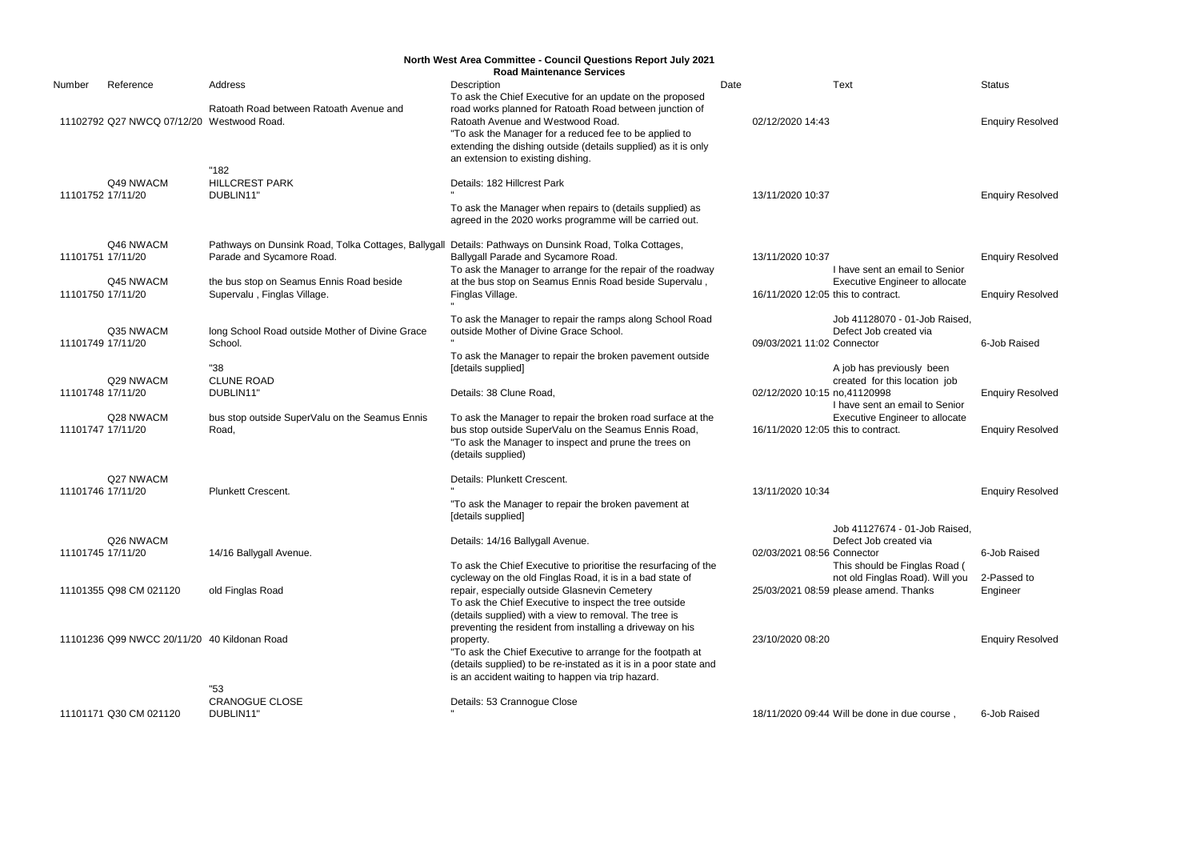|                   | North West Area Committee - Council Questions Report July 2021<br><b>Road Maintenance Services</b> |                                                                                  |                                                                                                                                                                                                                                                                |      |                                                                                                                        |                         |  |  |  |
|-------------------|----------------------------------------------------------------------------------------------------|----------------------------------------------------------------------------------|----------------------------------------------------------------------------------------------------------------------------------------------------------------------------------------------------------------------------------------------------------------|------|------------------------------------------------------------------------------------------------------------------------|-------------------------|--|--|--|
| Number            | Reference                                                                                          | Address                                                                          | Description<br>To ask the Chief Executive for an update on the proposed                                                                                                                                                                                        | Date | <b>Text</b>                                                                                                            | <b>Status</b>           |  |  |  |
|                   | 11102792 Q27 NWCQ 07/12/20 Westwood Road.                                                          | Ratoath Road between Ratoath Avenue and                                          | road works planned for Ratoath Road between junction of<br>Ratoath Avenue and Westwood Road.<br>"To ask the Manager for a reduced fee to be applied to<br>extending the dishing outside (details supplied) as it is only<br>an extension to existing dishing.  |      | 02/12/2020 14:43                                                                                                       | <b>Enquiry Resolved</b> |  |  |  |
| 11101752 17/11/20 | Q49 NWACM                                                                                          | "182<br><b>HILLCREST PARK</b><br>DUBLIN11"                                       | Details: 182 Hillcrest Park<br>To ask the Manager when repairs to (details supplied) as<br>agreed in the 2020 works programme will be carried out.                                                                                                             |      | 13/11/2020 10:37                                                                                                       | <b>Enquiry Resolved</b> |  |  |  |
| 11101751 17/11/20 | Q46 NWACM                                                                                          | Pathways on Dunsink Road, Tolka Cottages, Ballygall<br>Parade and Sycamore Road. | Details: Pathways on Dunsink Road, Tolka Cottages,<br>Ballygall Parade and Sycamore Road.<br>To ask the Manager to arrange for the repair of the roadway                                                                                                       |      | 13/11/2020 10:37<br>I have sent an email to Senior                                                                     | <b>Enquiry Resolved</b> |  |  |  |
| 11101750 17/11/20 | Q45 NWACM                                                                                          | the bus stop on Seamus Ennis Road beside<br>Supervalu, Finglas Village.          | at the bus stop on Seamus Ennis Road beside Supervalu,<br>Finglas Village.                                                                                                                                                                                     |      | <b>Executive Engineer to allocate</b><br>16/11/2020 12:05 this to contract.                                            | <b>Enquiry Resolved</b> |  |  |  |
| 11101749 17/11/20 | Q35 NWACM                                                                                          | long School Road outside Mother of Divine Grace<br>School.                       | To ask the Manager to repair the ramps along School Road<br>outside Mother of Divine Grace School.                                                                                                                                                             |      | Job 41128070 - 01-Job Raised,<br>Defect Job created via<br>09/03/2021 11:02 Connector                                  | 6-Job Raised            |  |  |  |
| 11101748 17/11/20 | Q29 NWACM                                                                                          | "38<br><b>CLUNE ROAD</b><br>DUBLIN11"                                            | To ask the Manager to repair the broken pavement outside<br>[details supplied]<br>Details: 38 Clune Road,                                                                                                                                                      |      | A job has previously been<br>created for this location job<br>02/12/2020 10:15 no,41120998                             | <b>Enquiry Resolved</b> |  |  |  |
| 11101747 17/11/20 | Q28 NWACM                                                                                          | bus stop outside SuperValu on the Seamus Ennis<br>Road,                          | To ask the Manager to repair the broken road surface at the<br>bus stop outside SuperValu on the Seamus Ennis Road,<br>"To ask the Manager to inspect and prune the trees on<br>(details supplied)                                                             |      | I have sent an email to Senior<br><b>Executive Engineer to allocate</b><br>16/11/2020 12:05 this to contract.          | <b>Enquiry Resolved</b> |  |  |  |
| 11101746 17/11/20 | Q27 NWACM                                                                                          | Plunkett Crescent.                                                               | Details: Plunkett Crescent.<br>"To ask the Manager to repair the broken pavement at<br>[details supplied]                                                                                                                                                      |      | 13/11/2020 10:34                                                                                                       | <b>Enquiry Resolved</b> |  |  |  |
| 11101745 17/11/20 | Q26 NWACM                                                                                          | 14/16 Ballygall Avenue.                                                          | Details: 14/16 Ballygall Avenue.<br>To ask the Chief Executive to prioritise the resurfacing of the                                                                                                                                                            |      | Job 41127674 - 01-Job Raised,<br>Defect Job created via<br>02/03/2021 08:56 Connector<br>This should be Finglas Road ( | 6-Job Raised            |  |  |  |
|                   | 11101355 Q98 CM 021120                                                                             | old Finglas Road                                                                 | cycleway on the old Finglas Road, it is in a bad state of<br>repair, especially outside Glasnevin Cemetery<br>To ask the Chief Executive to inspect the tree outside<br>(details supplied) with a view to removal. The tree is                                 |      | not old Finglas Road). Will you<br>25/03/2021 08:59 please amend. Thanks                                               | 2-Passed to<br>Engineer |  |  |  |
|                   | 11101236 Q99 NWCC 20/11/20 40 Kildonan Road                                                        |                                                                                  | preventing the resident from installing a driveway on his<br>property.<br>"To ask the Chief Executive to arrange for the footpath at<br>(details supplied) to be re-instated as it is in a poor state and<br>is an accident waiting to happen via trip hazard. |      | 23/10/2020 08:20                                                                                                       | <b>Enquiry Resolved</b> |  |  |  |
|                   | 11101171 Q30 CM 021120                                                                             | "53<br><b>CRANOGUE CLOSE</b><br>DUBLIN11"                                        | Details: 53 Crannogue Close                                                                                                                                                                                                                                    |      | 18/11/2020 09:44 Will be done in due course,                                                                           | 6-Job Raised            |  |  |  |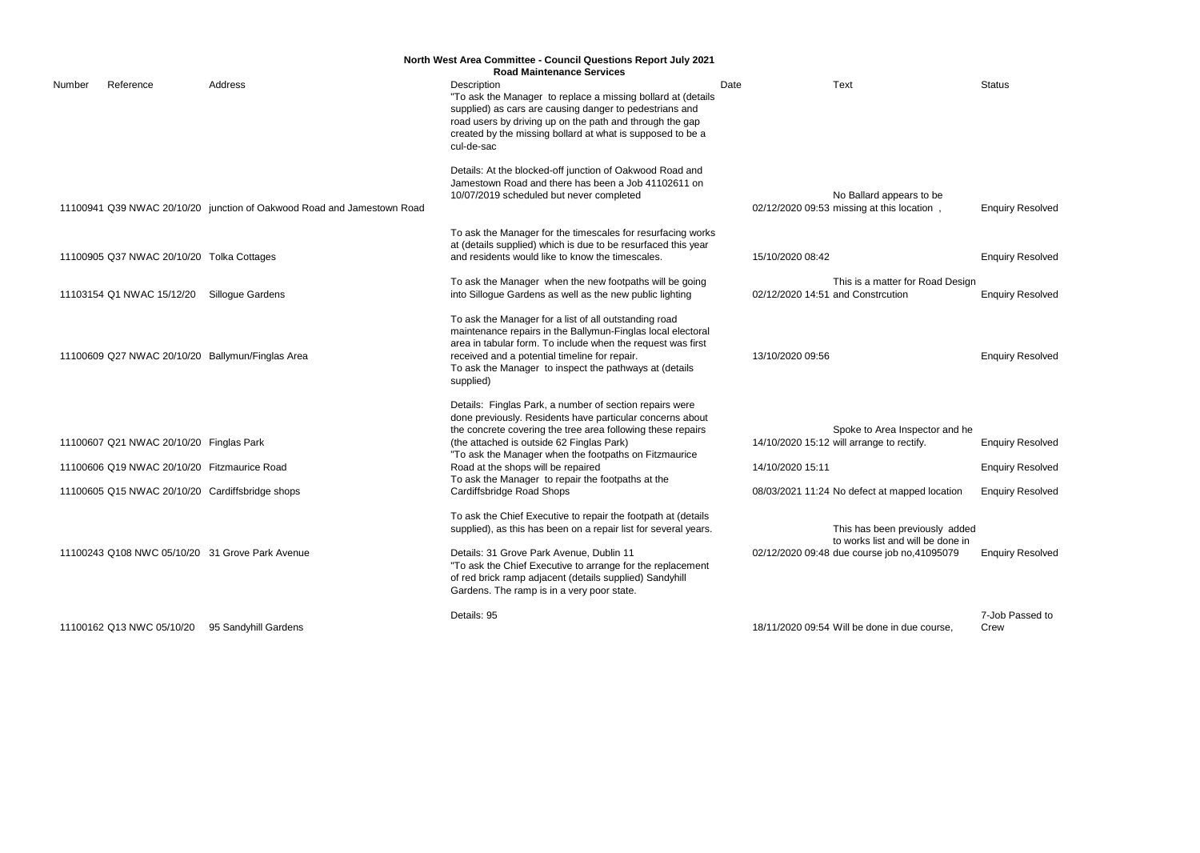|        |                                                                                        |                                                                        | <b>North West Area Committee - Council Questions Report July 2021</b><br><b>Road Maintenance Services</b>                                                                                                                                                                                                                                                                                                         |      |                  |                                                                                                                              |                                                                               |
|--------|----------------------------------------------------------------------------------------|------------------------------------------------------------------------|-------------------------------------------------------------------------------------------------------------------------------------------------------------------------------------------------------------------------------------------------------------------------------------------------------------------------------------------------------------------------------------------------------------------|------|------------------|------------------------------------------------------------------------------------------------------------------------------|-------------------------------------------------------------------------------|
| Number | Reference                                                                              | Address                                                                | Description<br>"To ask the Manager to replace a missing bollard at (details<br>supplied) as cars are causing danger to pedestrians and<br>road users by driving up on the path and through the gap<br>created by the missing bollard at what is supposed to be a<br>cul-de-sac                                                                                                                                    | Date |                  | <b>Text</b>                                                                                                                  | <b>Status</b>                                                                 |
|        |                                                                                        | 11100941 Q39 NWAC 20/10/20 junction of Oakwood Road and Jamestown Road | Details: At the blocked-off junction of Oakwood Road and<br>Jamestown Road and there has been a Job 41102611 on<br>10/07/2019 scheduled but never completed                                                                                                                                                                                                                                                       |      |                  | No Ballard appears to be<br>02/12/2020 09:53 missing at this location                                                        | <b>Enquiry Resolved</b>                                                       |
|        | 11100905 Q37 NWAC 20/10/20 Tolka Cottages                                              |                                                                        | To ask the Manager for the timescales for resurfacing works<br>at (details supplied) which is due to be resurfaced this year<br>and residents would like to know the timescales.                                                                                                                                                                                                                                  |      | 15/10/2020 08:42 |                                                                                                                              | <b>Enquiry Resolved</b>                                                       |
|        | 11103154 Q1 NWAC 15/12/20                                                              | <b>Sillogue Gardens</b>                                                | To ask the Manager when the new footpaths will be going<br>into Sillogue Gardens as well as the new public lighting                                                                                                                                                                                                                                                                                               |      |                  | This is a matter for Road Design<br>02/12/2020 14:51 and Constrcution                                                        | <b>Enquiry Resolved</b>                                                       |
|        |                                                                                        | 11100609 Q27 NWAC 20/10/20 Ballymun/Finglas Area                       | To ask the Manager for a list of all outstanding road<br>maintenance repairs in the Ballymun-Finglas local electoral<br>area in tabular form. To include when the request was first<br>received and a potential timeline for repair.<br>To ask the Manager to inspect the pathways at (details<br>supplied)                                                                                                       |      | 13/10/2020 09:56 |                                                                                                                              | <b>Enquiry Resolved</b>                                                       |
|        | 11100607 Q21 NWAC 20/10/20 Finglas Park<br>11100606 Q19 NWAC 20/10/20 Fitzmaurice Road | 11100605 Q15 NWAC 20/10/20 Cardiffsbridge shops                        | Details: Finglas Park, a number of section repairs were<br>done previously. Residents have particular concerns about<br>the concrete covering the tree area following these repairs<br>(the attached is outside 62 Finglas Park)<br>"To ask the Manager when the footpaths on Fitzmaurice<br>Road at the shops will be repaired<br>To ask the Manager to repair the footpaths at the<br>Cardiffsbridge Road Shops |      | 14/10/2020 15:11 | Spoke to Area Inspector and he<br>14/10/2020 15:12 will arrange to rectify.<br>08/03/2021 11:24 No defect at mapped location | <b>Enquiry Resolved</b><br><b>Enquiry Resolved</b><br><b>Enquiry Resolved</b> |
|        |                                                                                        | 11100243 Q108 NWC 05/10/20 31 Grove Park Avenue                        | To ask the Chief Executive to repair the footpath at (details<br>supplied), as this has been on a repair list for several years.<br>Details: 31 Grove Park Avenue, Dublin 11<br>"To ask the Chief Executive to arrange for the replacement<br>of red brick ramp adjacent (details supplied) Sandyhill<br>Gardens. The ramp is in a very poor state.                                                               |      |                  | This has been previously added<br>to works list and will be done in<br>02/12/2020 09:48 due course job no,41095079           | <b>Enquiry Resolved</b>                                                       |
|        | 11100162 Q13 NWC 05/10/20                                                              | 95 Sandyhill Gardens                                                   | Details: 95                                                                                                                                                                                                                                                                                                                                                                                                       |      |                  | 18/11/2020 09:54 Will be done in due course.                                                                                 | 7-Job Passed to<br>Crew                                                       |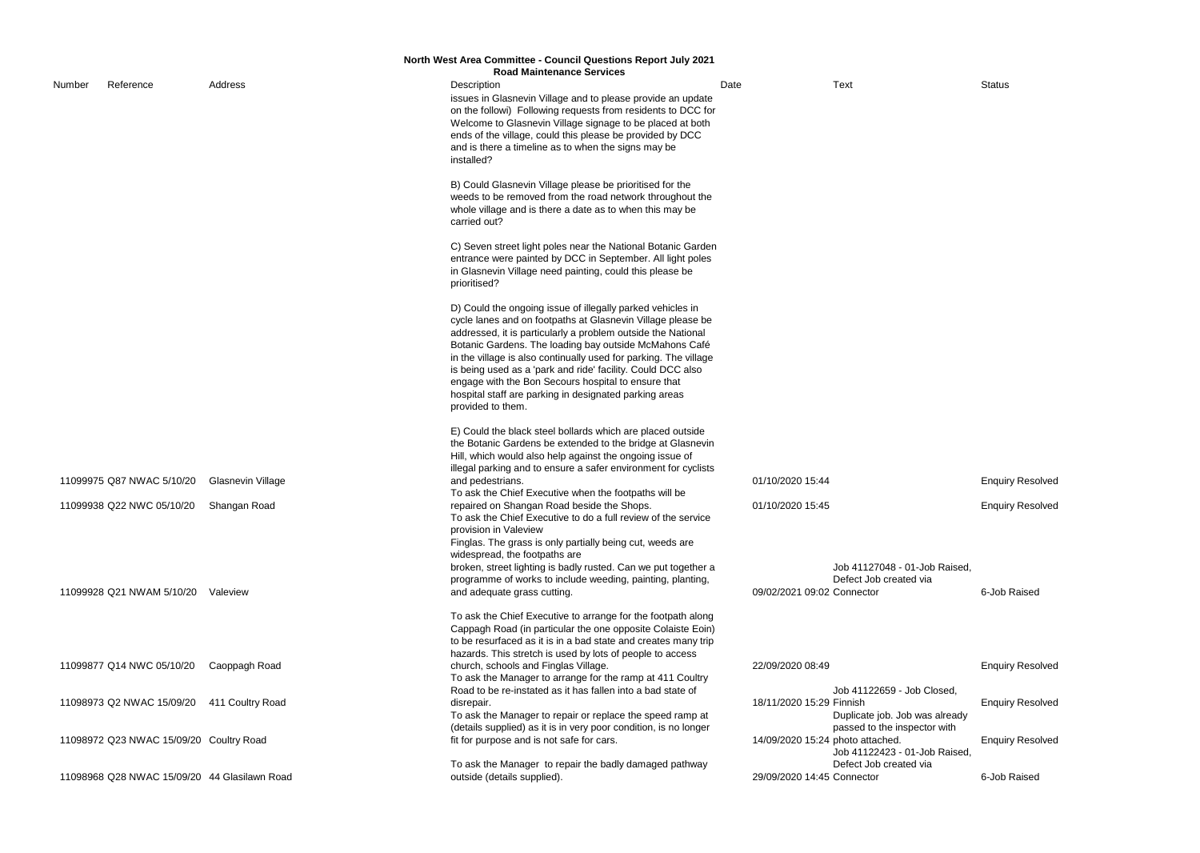|        |                                              |                   | <b>North West Area Committee - Council Questions Report July 2021</b>                                                                                                                                                                                                                                                                                                                                                                                                                                                        |                                  |                                                                                              |               |
|--------|----------------------------------------------|-------------------|------------------------------------------------------------------------------------------------------------------------------------------------------------------------------------------------------------------------------------------------------------------------------------------------------------------------------------------------------------------------------------------------------------------------------------------------------------------------------------------------------------------------------|----------------------------------|----------------------------------------------------------------------------------------------|---------------|
|        |                                              |                   | <b>Road Maintenance Services</b>                                                                                                                                                                                                                                                                                                                                                                                                                                                                                             |                                  |                                                                                              |               |
| Number | Reference                                    | Address           | Description<br>issues in Glasnevin Village and to please provide an update<br>on the followi) Following requests from residents to DCC for<br>Welcome to Glasnevin Village signage to be placed at both<br>ends of the village, could this please be provided by DCC<br>and is there a timeline as to when the signs may be<br>installed?                                                                                                                                                                                    | Date                             | <b>Text</b>                                                                                  | <b>Status</b> |
|        |                                              |                   | B) Could Glasnevin Village please be prioritised for the<br>weeds to be removed from the road network throughout the<br>whole village and is there a date as to when this may be<br>carried out?                                                                                                                                                                                                                                                                                                                             |                                  |                                                                                              |               |
|        |                                              |                   | C) Seven street light poles near the National Botanic Garden<br>entrance were painted by DCC in September. All light poles<br>in Glasnevin Village need painting, could this please be<br>prioritised?                                                                                                                                                                                                                                                                                                                       |                                  |                                                                                              |               |
|        |                                              |                   | D) Could the ongoing issue of illegally parked vehicles in<br>cycle lanes and on footpaths at Glasnevin Village please be<br>addressed, it is particularly a problem outside the National<br>Botanic Gardens. The loading bay outside McMahons Café<br>in the village is also continually used for parking. The village<br>is being used as a 'park and ride' facility. Could DCC also<br>engage with the Bon Secours hospital to ensure that<br>hospital staff are parking in designated parking areas<br>provided to them. |                                  |                                                                                              |               |
|        | 11099975 Q87 NWAC 5/10/20                    | Glasnevin Village | E) Could the black steel bollards which are placed outside<br>the Botanic Gardens be extended to the bridge at Glasnevin<br>Hill, which would also help against the ongoing issue of<br>illegal parking and to ensure a safer environment for cyclists<br>and pedestrians.                                                                                                                                                                                                                                                   | 01/10/2020 15:44                 |                                                                                              | Enqui         |
|        | 11099938 Q22 NWC 05/10/20                    | Shangan Road      | To ask the Chief Executive when the footpaths will be<br>repaired on Shangan Road beside the Shops.<br>To ask the Chief Executive to do a full review of the service<br>provision in Valeview                                                                                                                                                                                                                                                                                                                                | 01/10/2020 15:45                 |                                                                                              | Enqui         |
|        | 11099928 Q21 NWAM 5/10/20                    | Valeview          | Finglas. The grass is only partially being cut, weeds are<br>widespread, the footpaths are<br>broken, street lighting is badly rusted. Can we put together a<br>programme of works to include weeding, painting, planting,<br>and adequate grass cutting.                                                                                                                                                                                                                                                                    | 09/02/2021 09:02 Connector       | Job 41127048 - 01-Job Raised,<br>Defect Job created via                                      | 6-Job         |
|        |                                              |                   | To ask the Chief Executive to arrange for the footpath along<br>Cappagh Road (in particular the one opposite Colaiste Eoin)<br>to be resurfaced as it is in a bad state and creates many trip<br>hazards. This stretch is used by lots of people to access                                                                                                                                                                                                                                                                   |                                  |                                                                                              |               |
|        | 11099877 Q14 NWC 05/10/20                    | Caoppagh Road     | church, schools and Finglas Village.<br>To ask the Manager to arrange for the ramp at 411 Coultry                                                                                                                                                                                                                                                                                                                                                                                                                            | 22/09/2020 08:49                 |                                                                                              | Enqui         |
|        | 11098973 Q2 NWAC 15/09/20                    | 411 Coultry Road  | Road to be re-instated as it has fallen into a bad state of<br>disrepair.<br>To ask the Manager to repair or replace the speed ramp at<br>(details supplied) as it is in very poor condition, is no longer                                                                                                                                                                                                                                                                                                                   | 18/11/2020 15:29 Finnish         | Job 41122659 - Job Closed,<br>Duplicate job. Job was already<br>passed to the inspector with | Enqui         |
|        | 11098972 Q23 NWAC 15/09/20 Coultry Road      |                   | fit for purpose and is not safe for cars.                                                                                                                                                                                                                                                                                                                                                                                                                                                                                    | 14/09/2020 15:24 photo attached. | Job 41122423 - 01-Job Raised,                                                                | Enqui         |
|        | 11098968 Q28 NWAC 15/09/20 44 Glasilawn Road |                   | To ask the Manager to repair the badly damaged pathway<br>outside (details supplied).                                                                                                                                                                                                                                                                                                                                                                                                                                        | 29/09/2020 14:45 Connector       | Defect Job created via                                                                       | 6-Job         |

**Enquiry Resolved** 

**Enquiry Resolved** 

6-Job Raised

Enquiry Resolved

| <b>Enquiry Resolved</b> |
|-------------------------|
|                         |
|                         |
| <b>Enquiry Resolved</b> |
|                         |
|                         |
| 6-Job Raised            |
|                         |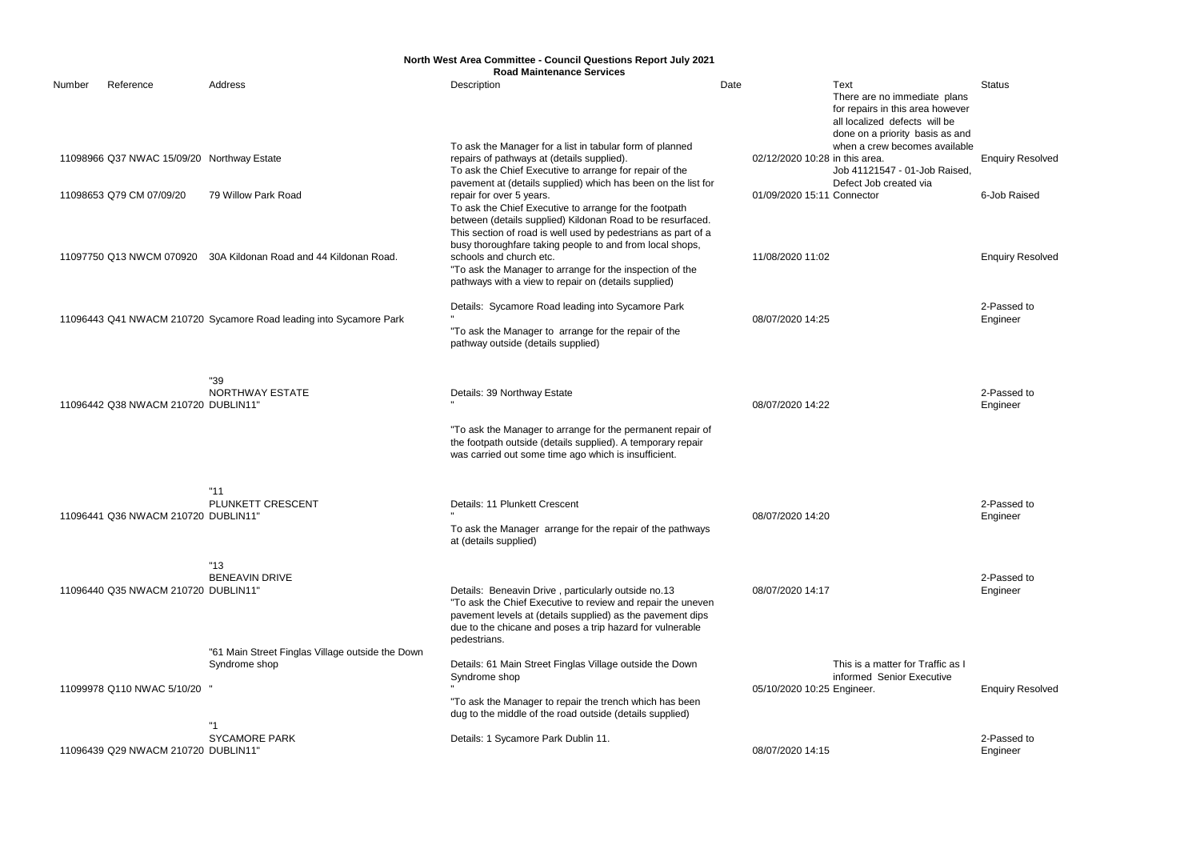|        |                                            |                                                                    | North West Area Committee - Council Questions Report July 2021<br><b>Road Maintenance Services</b>                                                                                                                                                                                 |                                |                                                                                                                                              |                         |
|--------|--------------------------------------------|--------------------------------------------------------------------|------------------------------------------------------------------------------------------------------------------------------------------------------------------------------------------------------------------------------------------------------------------------------------|--------------------------------|----------------------------------------------------------------------------------------------------------------------------------------------|-------------------------|
| Number | Reference                                  | Address                                                            | Description                                                                                                                                                                                                                                                                        | Date                           | Text<br>There are no immediate plans<br>for repairs in this area however<br>all localized defects will be<br>done on a priority basis as and | <b>Status</b>           |
|        | 11098966 Q37 NWAC 15/09/20 Northway Estate |                                                                    | To ask the Manager for a list in tabular form of planned<br>repairs of pathways at (details supplied).<br>To ask the Chief Executive to arrange for repair of the                                                                                                                  | 02/12/2020 10:28 in this area. | when a crew becomes available<br>Job 41121547 - 01-Job Raised,                                                                               | <b>Enquiry Resolved</b> |
|        | 11098653 Q79 CM 07/09/20                   | 79 Willow Park Road                                                | pavement at (details supplied) which has been on the list for<br>repair for over 5 years.<br>To ask the Chief Executive to arrange for the footpath<br>between (details supplied) Kildonan Road to be resurfaced.<br>This section of road is well used by pedestrians as part of a | 01/09/2020 15:11 Connector     | Defect Job created via                                                                                                                       | 6-Job Raised            |
|        | 11097750 Q13 NWCM 070920                   | 30A Kildonan Road and 44 Kildonan Road.                            | busy thoroughfare taking people to and from local shops,<br>schools and church etc.<br>"To ask the Manager to arrange for the inspection of the<br>pathways with a view to repair on (details supplied)                                                                            | 11/08/2020 11:02               |                                                                                                                                              | <b>Enquiry Resolved</b> |
|        |                                            | 11096443 Q41 NWACM 210720 Sycamore Road leading into Sycamore Park | Details: Sycamore Road leading into Sycamore Park<br>"To ask the Manager to arrange for the repair of the<br>pathway outside (details supplied)                                                                                                                                    | 08/07/2020 14:25               |                                                                                                                                              | 2-Passed to<br>Engineer |
|        | 11096442 Q38 NWACM 210720 DUBLIN11"        | "39<br><b>NORTHWAY ESTATE</b>                                      | Details: 39 Northway Estate<br>"To ask the Manager to arrange for the permanent repair of                                                                                                                                                                                          | 08/07/2020 14:22               |                                                                                                                                              | 2-Passed to<br>Engineer |
|        |                                            |                                                                    | the footpath outside (details supplied). A temporary repair<br>was carried out some time ago which is insufficient.                                                                                                                                                                |                                |                                                                                                                                              |                         |
|        | 11096441 Q36 NWACM 210720 DUBLIN11'        | "11"<br>PLUNKETT CRESCENT                                          | Details: 11 Plunkett Crescent<br>To ask the Manager arrange for the repair of the pathways<br>at (details supplied)                                                                                                                                                                | 08/07/2020 14:20               |                                                                                                                                              | 2-Passed to<br>Engineer |
|        | 11096440 Q35 NWACM 210720 DUBLIN11"        | "13"<br><b>BENEAVIN DRIVE</b>                                      | Details: Beneavin Drive, particularly outside no.13<br>"To ask the Chief Executive to review and repair the uneven<br>pavement levels at (details supplied) as the pavement dips<br>due to the chicane and poses a trip hazard for vulnerable<br>pedestrians.                      | 08/07/2020 14:17               |                                                                                                                                              | 2-Passed to<br>Engineer |
|        | 11099978 Q110 NWAC 5/10/20 "               | "61 Main Street Finglas Village outside the Down<br>Syndrome shop  | Details: 61 Main Street Finglas Village outside the Down<br>Syndrome shop<br>"To ask the Manager to repair the trench which has been<br>dug to the middle of the road outside (details supplied)                                                                                   | 05/10/2020 10:25 Engineer.     | This is a matter for Traffic as I<br>informed Senior Executive                                                                               | <b>Enquiry Resolved</b> |
|        | 11096439 Q29 NWACM 210720 DUBLIN11"        | <b>SYCAMORE PARK</b>                                               | Details: 1 Sycamore Park Dublin 11.                                                                                                                                                                                                                                                | 08/07/2020 14:15               |                                                                                                                                              | 2-Passed to<br>Engineer |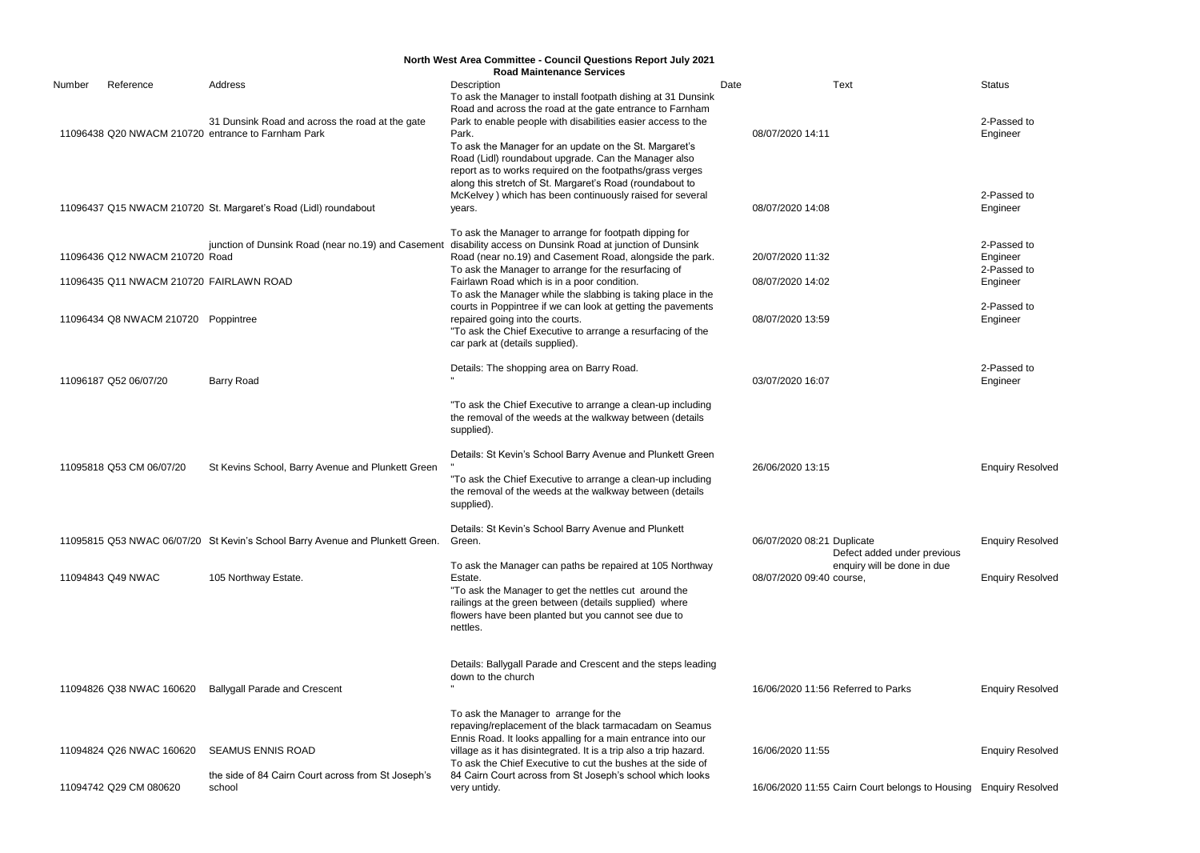2-Passed to Engineer

2-Passed to Engineer 2-Passed to Engineer

2-Passed to Engineer

|        |                                         |                                                                                                       | North West Area Committee - Council Questions Report July 2021<br><b>Road Maintenance Services</b>                                                                                                                                                                                                               |      |                                                           |                          |
|--------|-----------------------------------------|-------------------------------------------------------------------------------------------------------|------------------------------------------------------------------------------------------------------------------------------------------------------------------------------------------------------------------------------------------------------------------------------------------------------------------|------|-----------------------------------------------------------|--------------------------|
| Number | Reference                               | Address                                                                                               | Description<br>To ask the Manager to install footpath dishing at 31 Dunsink<br>Road and across the road at the gate entrance to Farnham                                                                                                                                                                          | Date | <b>Text</b>                                               | Status                   |
|        |                                         | 31 Dunsink Road and across the road at the gate<br>11096438 Q20 NWACM 210720 entrance to Farnham Park | Park to enable people with disabilities easier access to the<br>Park.<br>To ask the Manager for an update on the St. Margaret's<br>Road (Lidl) roundabout upgrade. Can the Manager also<br>report as to works required on the footpaths/grass verges<br>along this stretch of St. Margaret's Road (roundabout to |      | 08/07/2020 14:11                                          | 2-Pas<br>Engine          |
|        |                                         | 11096437 Q15 NWACM 210720 St. Margaret's Road (Lidl) roundabout                                       | McKelvey) which has been continuously raised for several<br>years.                                                                                                                                                                                                                                               |      | 08/07/2020 14:08                                          | 2-Pas<br>Engine          |
|        | 11096436 Q12 NWACM 210720 Road          | junction of Dunsink Road (near no.19) and Casement                                                    | To ask the Manager to arrange for footpath dipping for<br>disability access on Dunsink Road at junction of Dunsink<br>Road (near no.19) and Casement Road, alongside the park.<br>To ask the Manager to arrange for the resurfacing of                                                                           |      | 20/07/2020 11:32                                          | 2-Pas<br>Engine<br>2-Pas |
|        | 11096435 Q11 NWACM 210720 FAIRLAWN ROAD |                                                                                                       | Fairlawn Road which is in a poor condition.<br>To ask the Manager while the slabbing is taking place in the                                                                                                                                                                                                      |      | 08/07/2020 14:02                                          | Engine                   |
|        | 11096434 Q8 NWACM 210720 Poppintree     |                                                                                                       | courts in Poppintree if we can look at getting the pavements<br>repaired going into the courts.<br>"To ask the Chief Executive to arrange a resurfacing of the<br>car park at (details supplied).                                                                                                                |      | 08/07/2020 13:59                                          | 2-Pas<br>Engine          |
|        | 11096187 Q52 06/07/20                   | <b>Barry Road</b>                                                                                     | Details: The shopping area on Barry Road.                                                                                                                                                                                                                                                                        |      | 03/07/2020 16:07                                          | 2-Pas<br>Engine          |
|        |                                         |                                                                                                       | "To ask the Chief Executive to arrange a clean-up including<br>the removal of the weeds at the walkway between (details<br>supplied).                                                                                                                                                                            |      |                                                           |                          |
|        | 11095818 Q53 CM 06/07/20                | St Kevins School, Barry Avenue and Plunkett Green                                                     | Details: St Kevin's School Barry Avenue and Plunkett Green<br>"To ask the Chief Executive to arrange a clean-up including<br>the removal of the weeds at the walkway between (details<br>supplied).                                                                                                              |      | 26/06/2020 13:15                                          | Enqui                    |
|        |                                         | 11095815 Q53 NWAC 06/07/20 St Kevin's School Barry Avenue and Plunkett Green.                         | Details: St Kevin's School Barry Avenue and Plunkett<br>Green.                                                                                                                                                                                                                                                   |      | 06/07/2020 08:21 Duplicate<br>Defect added under previous | Enqui                    |
|        | 11094843 Q49 NWAC                       | 105 Northway Estate.                                                                                  | To ask the Manager can paths be repaired at 105 Northway<br>Estate.<br>"To ask the Manager to get the nettles cut around the<br>railings at the green between (details supplied) where<br>flowers have been planted but you cannot see due to<br>nettles.                                                        |      | enquiry will be done in due<br>08/07/2020 09:40 course,   |                          |
|        |                                         |                                                                                                       | Details: Ballygall Parade and Crescent and the steps leading<br>down to the church                                                                                                                                                                                                                               |      |                                                           |                          |
|        | 11094826 Q38 NWAC 160620                | <b>Ballygall Parade and Crescent</b>                                                                  |                                                                                                                                                                                                                                                                                                                  |      | 16/06/2020 11:56 Referred to Parks                        | Enqui                    |
|        | 11094824 Q26 NWAC 160620                | <b>SEAMUS ENNIS ROAD</b>                                                                              | To ask the Manager to arrange for the<br>repaving/replacement of the black tarmacadam on Seamus<br>Ennis Road. It looks appalling for a main entrance into our<br>village as it has disintegrated. It is a trip also a trip hazard.                                                                              |      | 16/06/2020 11:55                                          |                          |
|        |                                         | the side of 84 Cairn Court across from St Joseph's                                                    | To ask the Chief Executive to cut the bushes at the side of<br>84 Cairn Court across from St Joseph's school which looks                                                                                                                                                                                         |      |                                                           | Enqui                    |
|        | 11094742 Q29 CM 080620                  | school                                                                                                | very untidy.                                                                                                                                                                                                                                                                                                     |      | 16/06/2020 11:55 Cairn Court belongs to Housing           | Enquir                   |

2-Passed to Engineer

Enquiry Resolved

Enquiry Resolved

**Enquiry Resolved** 

Parks **16/06/2020** 11:56 Parks Enquiry Resolved

Enquiry Resolved

belongs to Housing Enquiry Resolved